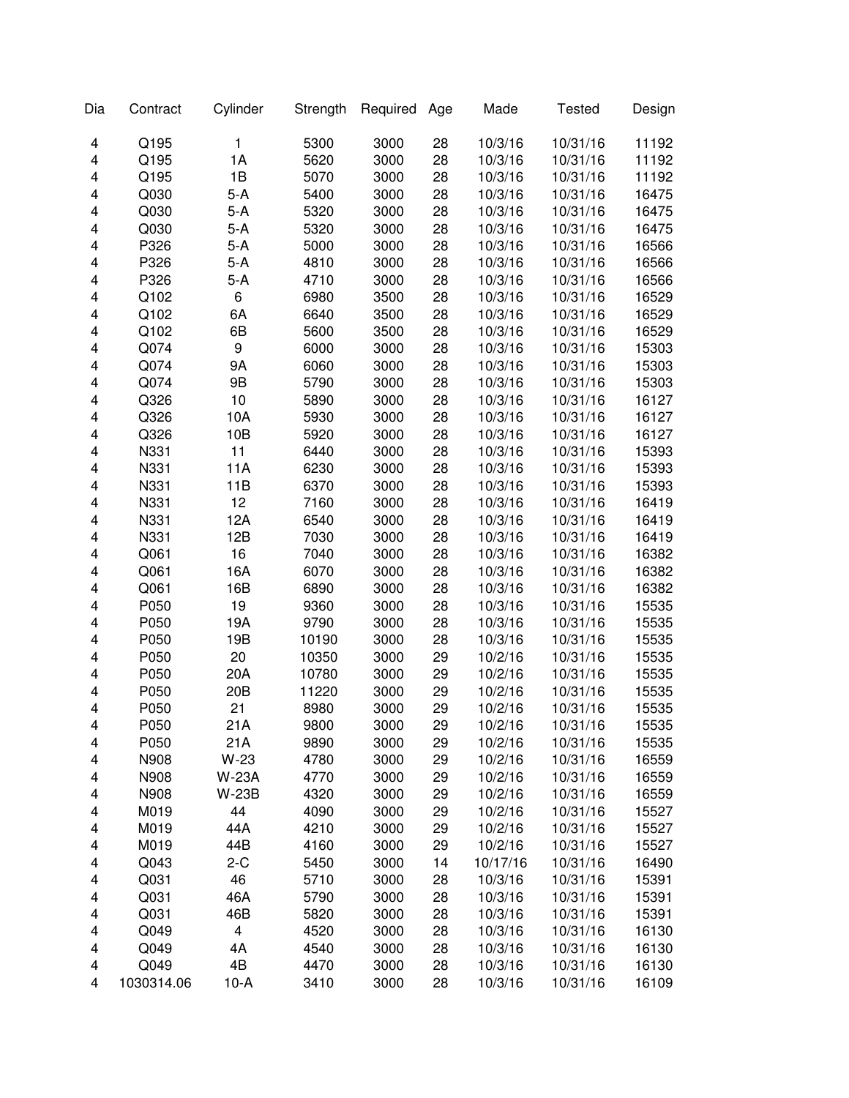| Dia | Contract   | Cylinder                | Strength | Required | Age | Made     | <b>Tested</b> | Design |
|-----|------------|-------------------------|----------|----------|-----|----------|---------------|--------|
| 4   | Q195       | 1                       | 5300     | 3000     | 28  | 10/3/16  | 10/31/16      | 11192  |
| 4   | Q195       | 1A                      | 5620     | 3000     | 28  | 10/3/16  | 10/31/16      | 11192  |
| 4   | Q195       | 1B                      | 5070     | 3000     | 28  | 10/3/16  | 10/31/16      | 11192  |
| 4   | Q030       | $5-A$                   | 5400     | 3000     | 28  | 10/3/16  | 10/31/16      | 16475  |
| 4   | Q030       | $5-A$                   | 5320     | 3000     | 28  | 10/3/16  | 10/31/16      | 16475  |
| 4   | Q030       | $5-A$                   | 5320     | 3000     | 28  | 10/3/16  | 10/31/16      | 16475  |
| 4   | P326       | $5-A$                   | 5000     | 3000     | 28  | 10/3/16  | 10/31/16      | 16566  |
| 4   | P326       | $5-A$                   | 4810     | 3000     | 28  | 10/3/16  | 10/31/16      | 16566  |
| 4   | P326       | $5-A$                   | 4710     | 3000     | 28  | 10/3/16  | 10/31/16      | 16566  |
| 4   | Q102       | 6                       | 6980     | 3500     | 28  | 10/3/16  | 10/31/16      | 16529  |
| 4   | Q102       | 6A                      | 6640     | 3500     | 28  | 10/3/16  | 10/31/16      | 16529  |
| 4   | Q102       | 6B                      | 5600     | 3500     | 28  | 10/3/16  | 10/31/16      | 16529  |
| 4   | Q074       | 9                       | 6000     | 3000     | 28  | 10/3/16  | 10/31/16      | 15303  |
| 4   | Q074       | 9Α                      | 6060     | 3000     | 28  | 10/3/16  | 10/31/16      | 15303  |
| 4   | Q074       | 9B                      | 5790     | 3000     | 28  | 10/3/16  | 10/31/16      | 15303  |
| 4   | Q326       | 10                      | 5890     | 3000     | 28  | 10/3/16  | 10/31/16      | 16127  |
| 4   | Q326       | 10A                     | 5930     | 3000     | 28  | 10/3/16  | 10/31/16      | 16127  |
| 4   | Q326       | 10B                     | 5920     | 3000     | 28  | 10/3/16  | 10/31/16      | 16127  |
| 4   | N331       | 11                      | 6440     | 3000     | 28  | 10/3/16  | 10/31/16      | 15393  |
| 4   | N331       | 11A                     | 6230     | 3000     | 28  | 10/3/16  | 10/31/16      | 15393  |
| 4   | N331       | 11B                     | 6370     | 3000     | 28  | 10/3/16  | 10/31/16      | 15393  |
| 4   | N331       | 12                      | 7160     | 3000     | 28  | 10/3/16  | 10/31/16      | 16419  |
| 4   | N331       | 12A                     | 6540     | 3000     | 28  | 10/3/16  | 10/31/16      | 16419  |
| 4   | N331       | 12B                     | 7030     | 3000     | 28  | 10/3/16  | 10/31/16      | 16419  |
| 4   | Q061       | 16                      | 7040     | 3000     | 28  | 10/3/16  | 10/31/16      | 16382  |
| 4   | Q061       | 16A                     | 6070     | 3000     | 28  | 10/3/16  | 10/31/16      | 16382  |
| 4   | Q061       | 16B                     | 6890     | 3000     | 28  | 10/3/16  | 10/31/16      | 16382  |
| 4   | P050       | 19                      | 9360     | 3000     | 28  | 10/3/16  | 10/31/16      | 15535  |
| 4   | P050       | 19A                     | 9790     | 3000     | 28  | 10/3/16  | 10/31/16      | 15535  |
| 4   | P050       | 19B                     | 10190    | 3000     | 28  | 10/3/16  | 10/31/16      | 15535  |
| 4   | P050       | 20                      | 10350    | 3000     | 29  | 10/2/16  | 10/31/16      | 15535  |
| 4   | P050       | 20A                     | 10780    | 3000     | 29  | 10/2/16  | 10/31/16      | 15535  |
| 4   | P050       | 20 <sub>B</sub>         | 11220    | 3000     | 29  | 10/2/16  | 10/31/16      | 15535  |
| 4   | P050       | 21                      | 8980     | 3000     | 29  | 10/2/16  | 10/31/16      | 15535  |
| 4   | P050       | 21 A                    | 9800     | 3000     | 29  | 10/2/16  | 10/31/16      | 15535  |
| 4   | P050       | 21A                     | 9890     | 3000     | 29  | 10/2/16  | 10/31/16      | 15535  |
| 4   | N908       | $W-23$                  | 4780     | 3000     | 29  | 10/2/16  | 10/31/16      | 16559  |
| 4   | N908       | <b>W-23A</b>            | 4770     | 3000     | 29  | 10/2/16  | 10/31/16      | 16559  |
| 4   | N908       | <b>W-23B</b>            | 4320     | 3000     | 29  | 10/2/16  | 10/31/16      | 16559  |
| 4   | M019       | 44                      | 4090     | 3000     | 29  | 10/2/16  | 10/31/16      | 15527  |
| 4   | M019       | 44A                     | 4210     | 3000     | 29  | 10/2/16  | 10/31/16      | 15527  |
| 4   | M019       | 44B                     | 4160     | 3000     | 29  | 10/2/16  | 10/31/16      | 15527  |
| 4   | Q043       | $2-C$                   | 5450     | 3000     | 14  | 10/17/16 | 10/31/16      | 16490  |
| 4   | Q031       | 46                      | 5710     | 3000     | 28  | 10/3/16  | 10/31/16      | 15391  |
| 4   | Q031       | 46A                     | 5790     | 3000     | 28  | 10/3/16  | 10/31/16      | 15391  |
| 4   | Q031       | 46B                     | 5820     | 3000     | 28  | 10/3/16  | 10/31/16      | 15391  |
| 4   | Q049       | $\overline{\mathbf{4}}$ | 4520     | 3000     | 28  | 10/3/16  | 10/31/16      | 16130  |
| 4   | Q049       | 4A                      | 4540     | 3000     | 28  | 10/3/16  | 10/31/16      | 16130  |
| 4   | Q049       | 4B                      | 4470     | 3000     | 28  | 10/3/16  | 10/31/16      | 16130  |
| 4   | 1030314.06 | $10-A$                  | 3410     | 3000     | 28  | 10/3/16  | 10/31/16      | 16109  |
|     |            |                         |          |          |     |          |               |        |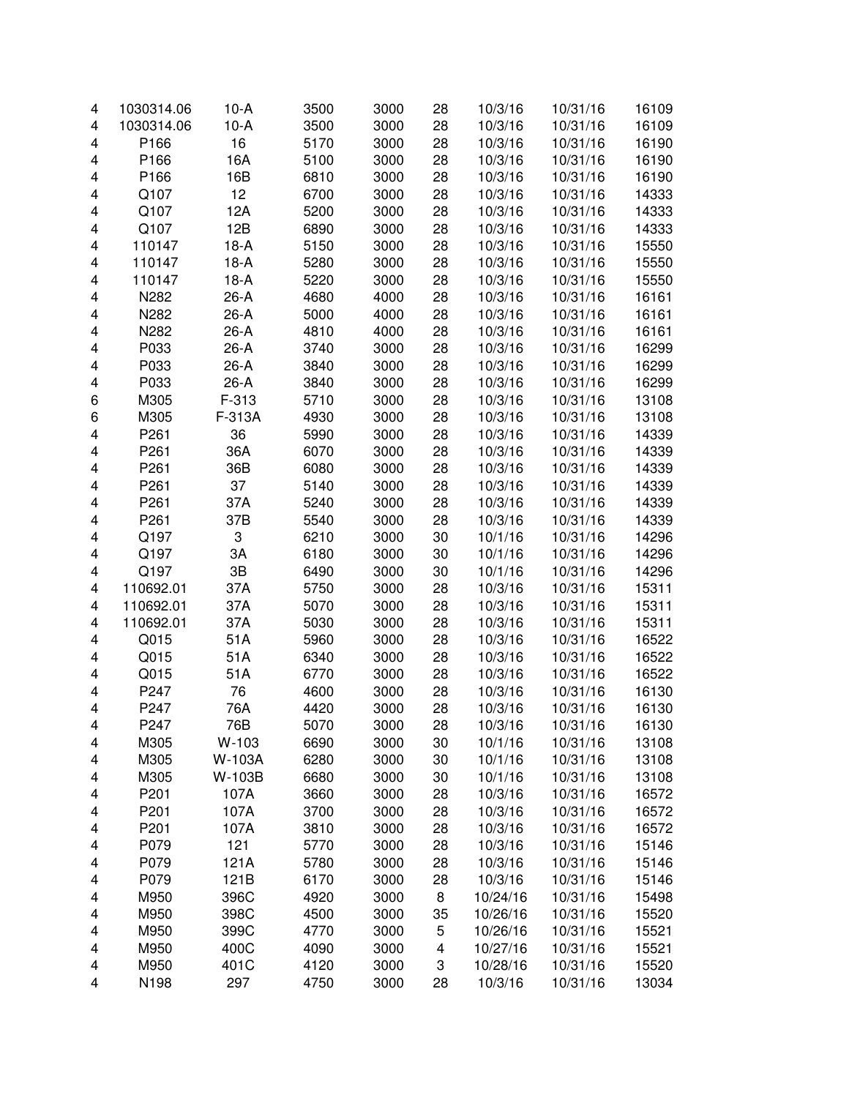| 4 | 1030314.06 | $10-A$ | 3500 | 3000 | 28 | 10/3/16  | 10/31/16 | 16109 |
|---|------------|--------|------|------|----|----------|----------|-------|
| 4 | 1030314.06 | $10-A$ | 3500 | 3000 | 28 | 10/3/16  | 10/31/16 | 16109 |
| 4 | P166       | 16     | 5170 | 3000 | 28 | 10/3/16  | 10/31/16 | 16190 |
| 4 | P166       | 16A    | 5100 | 3000 | 28 | 10/3/16  | 10/31/16 | 16190 |
| 4 | P166       | 16B    | 6810 | 3000 | 28 | 10/3/16  | 10/31/16 | 16190 |
| 4 | Q107       | 12     | 6700 | 3000 | 28 | 10/3/16  | 10/31/16 | 14333 |
| 4 | Q107       | 12A    | 5200 | 3000 | 28 | 10/3/16  | 10/31/16 | 14333 |
| 4 | Q107       | 12B    | 6890 | 3000 | 28 | 10/3/16  | 10/31/16 | 14333 |
| 4 | 110147     | $18-A$ | 5150 | 3000 | 28 | 10/3/16  | 10/31/16 | 15550 |
| 4 | 110147     | $18-A$ | 5280 | 3000 | 28 | 10/3/16  | 10/31/16 | 15550 |
| 4 | 110147     | $18-A$ | 5220 | 3000 | 28 | 10/3/16  | 10/31/16 | 15550 |
| 4 | N282       | 26-A   | 4680 | 4000 | 28 | 10/3/16  | 10/31/16 | 16161 |
| 4 | N282       | 26-A   | 5000 | 4000 | 28 | 10/3/16  | 10/31/16 | 16161 |
| 4 | N282       | $26-A$ | 4810 | 4000 | 28 | 10/3/16  | 10/31/16 | 16161 |
| 4 | P033       | 26-A   | 3740 | 3000 | 28 | 10/3/16  | 10/31/16 | 16299 |
| 4 | P033       | $26-A$ | 3840 | 3000 | 28 | 10/3/16  | 10/31/16 | 16299 |
| 4 | P033       | $26-A$ | 3840 | 3000 | 28 | 10/3/16  | 10/31/16 | 16299 |
| 6 | M305       | F-313  | 5710 | 3000 | 28 | 10/3/16  | 10/31/16 | 13108 |
| 6 | M305       | F-313A | 4930 | 3000 | 28 | 10/3/16  | 10/31/16 | 13108 |
| 4 | P261       | 36     | 5990 | 3000 | 28 | 10/3/16  | 10/31/16 | 14339 |
| 4 | P261       | 36A    | 6070 | 3000 | 28 | 10/3/16  | 10/31/16 | 14339 |
| 4 | P261       | 36B    | 6080 | 3000 | 28 | 10/3/16  | 10/31/16 | 14339 |
| 4 | P261       | 37     | 5140 | 3000 | 28 | 10/3/16  | 10/31/16 | 14339 |
| 4 | P261       | 37A    | 5240 | 3000 | 28 | 10/3/16  | 10/31/16 | 14339 |
| 4 | P261       | 37B    | 5540 | 3000 | 28 | 10/3/16  | 10/31/16 | 14339 |
| 4 | Q197       | 3      | 6210 | 3000 | 30 | 10/1/16  | 10/31/16 | 14296 |
| 4 | Q197       | ЗA     | 6180 | 3000 | 30 | 10/1/16  | 10/31/16 | 14296 |
| 4 | Q197       | 3B     | 6490 | 3000 | 30 | 10/1/16  | 10/31/16 | 14296 |
| 4 | 110692.01  | 37A    | 5750 | 3000 | 28 | 10/3/16  | 10/31/16 | 15311 |
| 4 | 110692.01  | 37A    | 5070 | 3000 | 28 | 10/3/16  | 10/31/16 | 15311 |
| 4 | 110692.01  | 37A    | 5030 | 3000 | 28 | 10/3/16  | 10/31/16 | 15311 |
| 4 | Q015       | 51A    | 5960 | 3000 | 28 | 10/3/16  | 10/31/16 | 16522 |
| 4 | Q015       | 51A    | 6340 | 3000 | 28 | 10/3/16  | 10/31/16 | 16522 |
| 4 | Q015       | 51A    | 6770 | 3000 | 28 | 10/3/16  | 10/31/16 | 16522 |
| 4 | P247       | 76     | 4600 | 3000 | 28 | 10/3/16  | 10/31/16 | 16130 |
| 4 | P247       | 76A    | 4420 | 3000 | 28 | 10/3/16  | 10/31/16 | 16130 |
| 4 | P247       | 76B    | 5070 | 3000 | 28 | 10/3/16  | 10/31/16 | 16130 |
| 4 | M305       | W-103  | 6690 | 3000 | 30 | 10/1/16  | 10/31/16 | 13108 |
| 4 | M305       | W-103A | 6280 | 3000 | 30 | 10/1/16  | 10/31/16 | 13108 |
| 4 | M305       | W-103B | 6680 | 3000 | 30 | 10/1/16  | 10/31/16 | 13108 |
| 4 | P201       | 107A   | 3660 | 3000 | 28 | 10/3/16  | 10/31/16 | 16572 |
| 4 | P201       | 107A   | 3700 | 3000 | 28 | 10/3/16  | 10/31/16 | 16572 |
| 4 | P201       | 107A   | 3810 | 3000 | 28 | 10/3/16  | 10/31/16 | 16572 |
| 4 | P079       | 121    | 5770 | 3000 | 28 | 10/3/16  | 10/31/16 | 15146 |
| 4 | P079       | 121A   | 5780 | 3000 | 28 | 10/3/16  | 10/31/16 | 15146 |
| 4 | P079       | 121B   | 6170 | 3000 | 28 | 10/3/16  | 10/31/16 | 15146 |
| 4 | M950       | 396C   | 4920 | 3000 | 8  | 10/24/16 | 10/31/16 | 15498 |
| 4 | M950       | 398C   | 4500 | 3000 | 35 | 10/26/16 | 10/31/16 | 15520 |
| 4 | M950       | 399C   | 4770 | 3000 | 5  | 10/26/16 | 10/31/16 | 15521 |
| 4 | M950       | 400C   | 4090 | 3000 | 4  | 10/27/16 | 10/31/16 | 15521 |
| 4 | M950       | 401C   | 4120 | 3000 | 3  | 10/28/16 | 10/31/16 | 15520 |
| 4 | N198       | 297    | 4750 | 3000 | 28 | 10/3/16  | 10/31/16 | 13034 |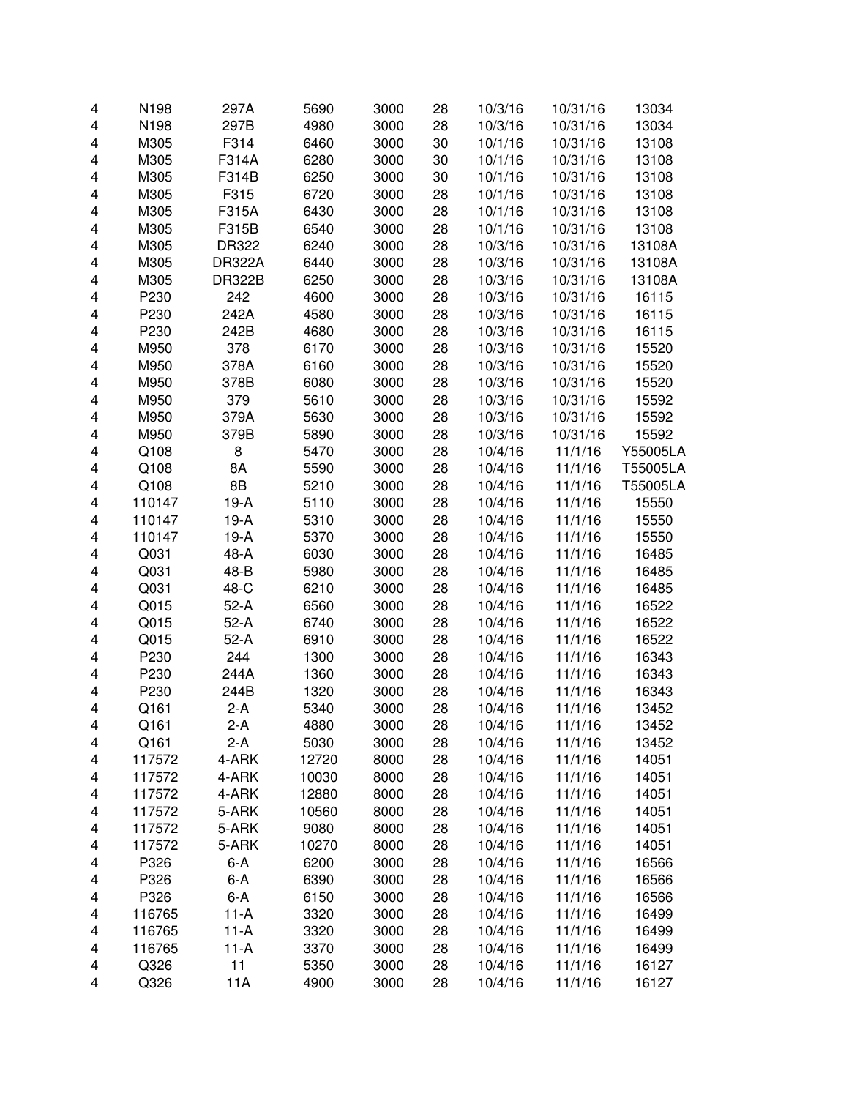| 4                       | N198   | 297A          | 5690  | 3000 | 28 | 10/3/16 | 10/31/16 | 13034    |
|-------------------------|--------|---------------|-------|------|----|---------|----------|----------|
| 4                       | N198   | 297B          | 4980  | 3000 | 28 | 10/3/16 | 10/31/16 | 13034    |
| 4                       | M305   | F314          | 6460  | 3000 | 30 | 10/1/16 | 10/31/16 | 13108    |
| 4                       | M305   | F314A         | 6280  | 3000 | 30 | 10/1/16 | 10/31/16 | 13108    |
| 4                       | M305   | F314B         | 6250  | 3000 | 30 | 10/1/16 | 10/31/16 | 13108    |
| 4                       | M305   | F315          | 6720  | 3000 | 28 | 10/1/16 | 10/31/16 | 13108    |
| 4                       | M305   | F315A         | 6430  | 3000 | 28 | 10/1/16 | 10/31/16 | 13108    |
| 4                       | M305   | F315B         | 6540  | 3000 | 28 | 10/1/16 | 10/31/16 | 13108    |
| 4                       | M305   | DR322         | 6240  | 3000 | 28 | 10/3/16 | 10/31/16 | 13108A   |
| 4                       | M305   | <b>DR322A</b> | 6440  | 3000 | 28 | 10/3/16 | 10/31/16 | 13108A   |
| 4                       | M305   | <b>DR322B</b> | 6250  | 3000 | 28 | 10/3/16 | 10/31/16 | 13108A   |
| 4                       | P230   | 242           | 4600  | 3000 | 28 | 10/3/16 | 10/31/16 | 16115    |
| 4                       | P230   | 242A          | 4580  | 3000 | 28 | 10/3/16 | 10/31/16 | 16115    |
| 4                       | P230   | 242B          | 4680  | 3000 | 28 | 10/3/16 | 10/31/16 | 16115    |
| 4                       | M950   | 378           | 6170  | 3000 | 28 | 10/3/16 | 10/31/16 | 15520    |
| 4                       | M950   | 378A          | 6160  | 3000 | 28 | 10/3/16 | 10/31/16 | 15520    |
| 4                       | M950   | 378B          | 6080  | 3000 | 28 | 10/3/16 | 10/31/16 | 15520    |
| 4                       | M950   | 379           | 5610  | 3000 | 28 | 10/3/16 | 10/31/16 | 15592    |
| 4                       | M950   | 379A          | 5630  | 3000 | 28 | 10/3/16 | 10/31/16 | 15592    |
| 4                       | M950   | 379B          | 5890  | 3000 | 28 | 10/3/16 | 10/31/16 | 15592    |
| 4                       | Q108   | 8             | 5470  | 3000 | 28 | 10/4/16 | 11/1/16  | Y55005LA |
| 4                       | Q108   | 8A            | 5590  | 3000 | 28 | 10/4/16 | 11/1/16  | T55005LA |
| 4                       | Q108   | 8B            | 5210  | 3000 | 28 | 10/4/16 | 11/1/16  | T55005LA |
| 4                       | 110147 | $19-A$        | 5110  | 3000 | 28 | 10/4/16 | 11/1/16  | 15550    |
| $\overline{\mathbf{4}}$ | 110147 | $19-A$        | 5310  | 3000 | 28 | 10/4/16 | 11/1/16  | 15550    |
| 4                       | 110147 | $19-A$        | 5370  | 3000 | 28 | 10/4/16 | 11/1/16  | 15550    |
| 4                       | Q031   | 48-A          | 6030  | 3000 | 28 | 10/4/16 | 11/1/16  | 16485    |
| 4                       | Q031   | 48-B          | 5980  | 3000 | 28 | 10/4/16 | 11/1/16  | 16485    |
| 4                       | Q031   | 48-C          | 6210  | 3000 | 28 | 10/4/16 | 11/1/16  | 16485    |
| 4                       | Q015   | $52-A$        | 6560  | 3000 | 28 | 10/4/16 | 11/1/16  | 16522    |
| 4                       | Q015   | $52-A$        | 6740  | 3000 | 28 | 10/4/16 | 11/1/16  | 16522    |
| 4                       | Q015   | $52-A$        | 6910  | 3000 | 28 | 10/4/16 | 11/1/16  | 16522    |
| 4                       | P230   | 244           | 1300  | 3000 | 28 | 10/4/16 | 11/1/16  | 16343    |
| 4                       | P230   | 244A          | 1360  | 3000 | 28 | 10/4/16 | 11/1/16  | 16343    |
| 4                       | P230   | 244B          | 1320  | 3000 | 28 | 10/4/16 | 11/1/16  | 16343    |
| 4                       | Q161   | $2-A$         | 5340  | 3000 | 28 | 10/4/16 | 11/1/16  | 13452    |
| 4                       | Q161   | 2-A           | 4880  | 3000 | 28 | 10/4/16 | 11/1/16  | 13452    |
| 4                       | Q161   | $2-A$         | 5030  | 3000 | 28 | 10/4/16 | 11/1/16  | 13452    |
| 4                       | 117572 | 4-ARK         | 12720 | 8000 | 28 | 10/4/16 | 11/1/16  | 14051    |
| 4                       | 117572 | 4-ARK         | 10030 | 8000 | 28 | 10/4/16 | 11/1/16  | 14051    |
| 4                       | 117572 | 4-ARK         | 12880 | 8000 | 28 | 10/4/16 | 11/1/16  | 14051    |
| 4                       | 117572 | 5-ARK         | 10560 | 8000 | 28 | 10/4/16 | 11/1/16  | 14051    |
| 4                       | 117572 | 5-ARK         | 9080  | 8000 | 28 | 10/4/16 | 11/1/16  | 14051    |
| 4                       | 117572 | 5-ARK         | 10270 | 8000 | 28 | 10/4/16 | 11/1/16  | 14051    |
| 4                       | P326   | $6-A$         | 6200  | 3000 | 28 | 10/4/16 | 11/1/16  | 16566    |
| 4                       | P326   | $6-A$         | 6390  | 3000 | 28 | 10/4/16 | 11/1/16  | 16566    |
| 4                       | P326   | $6-A$         | 6150  | 3000 | 28 | 10/4/16 | 11/1/16  | 16566    |
| 4                       | 116765 | $11-A$        | 3320  | 3000 | 28 | 10/4/16 | 11/1/16  | 16499    |
| 4                       | 116765 | $11-A$        | 3320  | 3000 | 28 | 10/4/16 | 11/1/16  | 16499    |
| 4                       | 116765 | $11-A$        | 3370  | 3000 | 28 | 10/4/16 | 11/1/16  | 16499    |
| 4                       | Q326   | 11            | 5350  | 3000 | 28 | 10/4/16 | 11/1/16  | 16127    |
| 4                       | Q326   | 11A           | 4900  | 3000 | 28 | 10/4/16 | 11/1/16  | 16127    |
|                         |        |               |       |      |    |         |          |          |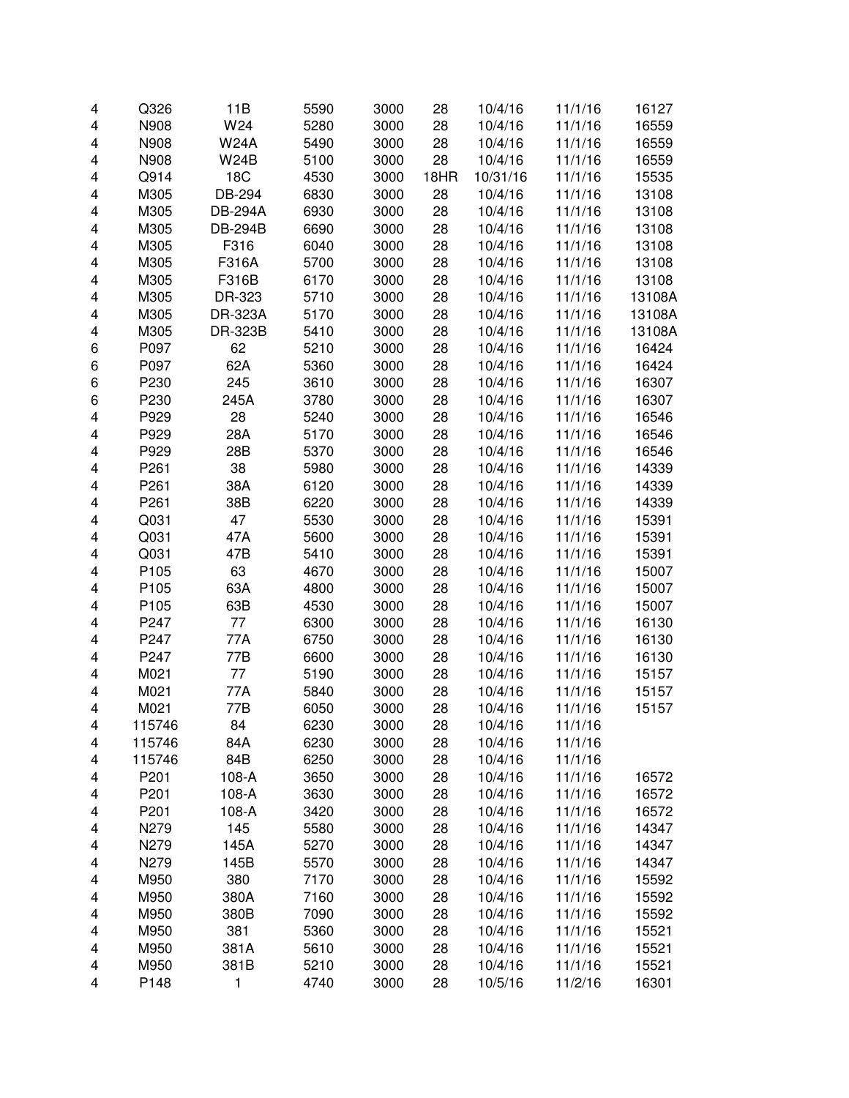| 4 | Q326   | 11B            | 5590 | 3000 | 28   | 10/4/16  | 11/1/16 | 16127  |
|---|--------|----------------|------|------|------|----------|---------|--------|
| 4 | N908   | W24            | 5280 | 3000 | 28   | 10/4/16  | 11/1/16 | 16559  |
| 4 | N908   | <b>W24A</b>    | 5490 | 3000 | 28   | 10/4/16  | 11/1/16 | 16559  |
| 4 | N908   | <b>W24B</b>    | 5100 | 3000 | 28   | 10/4/16  | 11/1/16 | 16559  |
| 4 | Q914   | <b>18C</b>     | 4530 | 3000 | 18HR | 10/31/16 | 11/1/16 | 15535  |
| 4 | M305   | DB-294         | 6830 | 3000 | 28   | 10/4/16  | 11/1/16 | 13108  |
| 4 | M305   | <b>DB-294A</b> | 6930 | 3000 | 28   | 10/4/16  | 11/1/16 | 13108  |
| 4 | M305   | <b>DB-294B</b> | 6690 | 3000 | 28   | 10/4/16  | 11/1/16 | 13108  |
| 4 | M305   | F316           | 6040 | 3000 | 28   | 10/4/16  | 11/1/16 | 13108  |
| 4 | M305   | F316A          | 5700 | 3000 | 28   | 10/4/16  | 11/1/16 | 13108  |
| 4 | M305   | F316B          | 6170 | 3000 | 28   | 10/4/16  | 11/1/16 | 13108  |
| 4 | M305   | DR-323         | 5710 | 3000 | 28   | 10/4/16  | 11/1/16 | 13108A |
| 4 | M305   | <b>DR-323A</b> | 5170 | 3000 | 28   | 10/4/16  | 11/1/16 | 13108A |
| 4 | M305   | DR-323B        | 5410 | 3000 | 28   | 10/4/16  | 11/1/16 | 13108A |
| 6 | P097   | 62             | 5210 | 3000 | 28   | 10/4/16  | 11/1/16 | 16424  |
| 6 | P097   | 62A            | 5360 | 3000 | 28   | 10/4/16  | 11/1/16 | 16424  |
| 6 | P230   | 245            | 3610 | 3000 | 28   | 10/4/16  | 11/1/16 | 16307  |
| 6 | P230   | 245A           | 3780 | 3000 | 28   | 10/4/16  | 11/1/16 | 16307  |
| 4 | P929   | 28             | 5240 | 3000 | 28   | 10/4/16  | 11/1/16 | 16546  |
| 4 | P929   | 28A            | 5170 | 3000 | 28   | 10/4/16  | 11/1/16 | 16546  |
| 4 | P929   | 28B            | 5370 | 3000 | 28   | 10/4/16  | 11/1/16 | 16546  |
| 4 | P261   | 38             | 5980 | 3000 | 28   | 10/4/16  | 11/1/16 | 14339  |
| 4 | P261   | 38A            | 6120 | 3000 | 28   | 10/4/16  | 11/1/16 | 14339  |
| 4 | P261   | 38B            | 6220 | 3000 | 28   | 10/4/16  | 11/1/16 | 14339  |
| 4 | Q031   | 47             | 5530 | 3000 | 28   | 10/4/16  | 11/1/16 | 15391  |
| 4 | Q031   | 47A            | 5600 | 3000 | 28   | 10/4/16  | 11/1/16 | 15391  |
| 4 | Q031   | 47B            | 5410 | 3000 | 28   | 10/4/16  | 11/1/16 | 15391  |
| 4 | P105   | 63             | 4670 | 3000 | 28   | 10/4/16  | 11/1/16 | 15007  |
| 4 | P105   | 63A            | 4800 | 3000 | 28   | 10/4/16  | 11/1/16 | 15007  |
| 4 | P105   | 63B            | 4530 | 3000 | 28   | 10/4/16  | 11/1/16 | 15007  |
| 4 | P247   | 77             | 6300 | 3000 | 28   | 10/4/16  | 11/1/16 | 16130  |
| 4 | P247   | 77A            | 6750 | 3000 | 28   | 10/4/16  | 11/1/16 | 16130  |
| 4 | P247   | 77B            | 6600 | 3000 | 28   | 10/4/16  | 11/1/16 | 16130  |
| 4 | M021   | 77             | 5190 | 3000 | 28   | 10/4/16  | 11/1/16 | 15157  |
| 4 | M021   | 77A            | 5840 | 3000 | 28   | 10/4/16  | 11/1/16 | 15157  |
| 4 | M021   | 77B            | 6050 | 3000 | 28   | 10/4/16  | 11/1/16 | 15157  |
| 4 | 115746 | 84             | 6230 | 3000 | 28   | 10/4/16  | 11/1/16 |        |
| 4 | 115746 | 84A            | 6230 | 3000 | 28   | 10/4/16  | 11/1/16 |        |
| 4 | 115746 | 84B            | 6250 | 3000 | 28   | 10/4/16  | 11/1/16 |        |
| 4 | P201   | 108-A          | 3650 | 3000 | 28   | 10/4/16  | 11/1/16 | 16572  |
| 4 | P201   | 108-A          | 3630 | 3000 | 28   | 10/4/16  | 11/1/16 | 16572  |
| 4 | P201   | 108-A          | 3420 | 3000 | 28   | 10/4/16  | 11/1/16 | 16572  |
| 4 | N279   | 145            | 5580 | 3000 | 28   | 10/4/16  | 11/1/16 | 14347  |
| 4 | N279   | 145A           | 5270 | 3000 | 28   | 10/4/16  | 11/1/16 | 14347  |
| 4 | N279   | 145B           | 5570 | 3000 | 28   | 10/4/16  | 11/1/16 | 14347  |
| 4 | M950   | 380            | 7170 | 3000 | 28   | 10/4/16  | 11/1/16 | 15592  |
| 4 | M950   | 380A           | 7160 | 3000 | 28   | 10/4/16  | 11/1/16 | 15592  |
| 4 | M950   | 380B           | 7090 | 3000 | 28   | 10/4/16  | 11/1/16 | 15592  |
| 4 | M950   | 381            | 5360 | 3000 | 28   | 10/4/16  | 11/1/16 | 15521  |
| 4 | M950   | 381A           | 5610 | 3000 | 28   | 10/4/16  | 11/1/16 | 15521  |
| 4 | M950   | 381B           | 5210 | 3000 | 28   | 10/4/16  | 11/1/16 | 15521  |
| 4 | P148   | 1              | 4740 | 3000 | 28   | 10/5/16  | 11/2/16 | 16301  |
|   |        |                |      |      |      |          |         |        |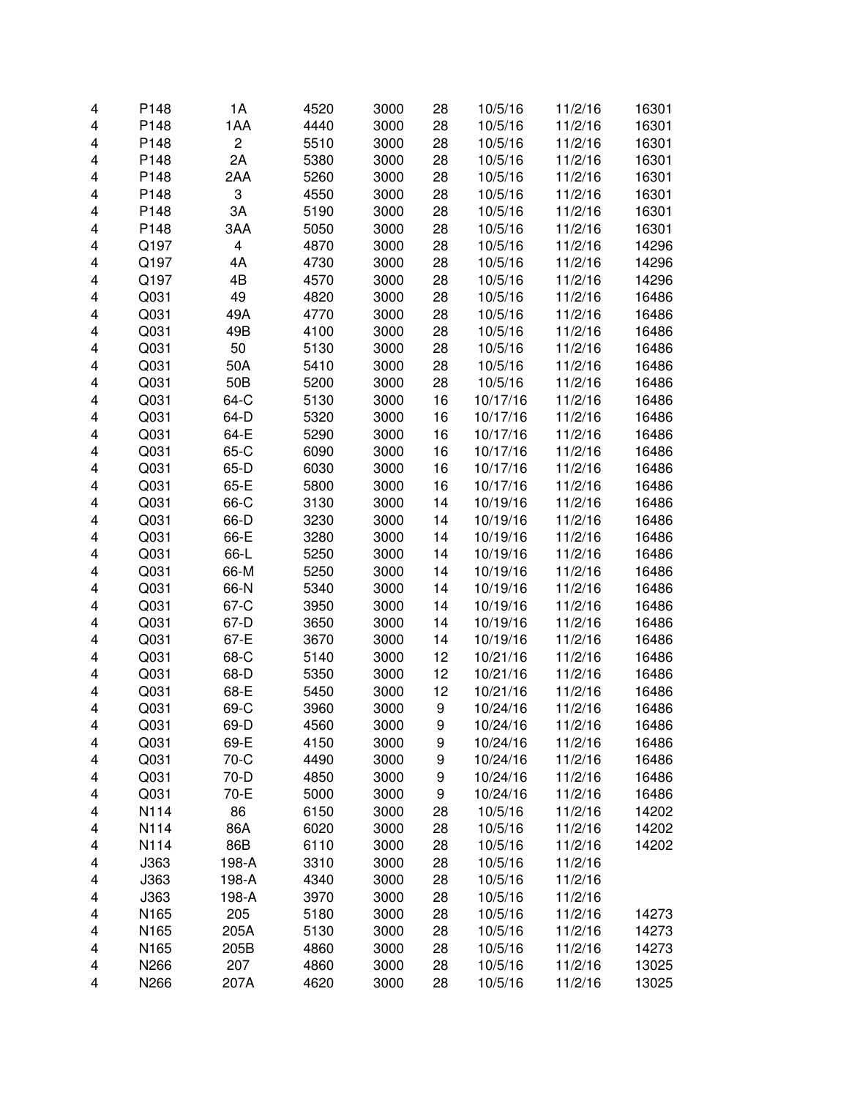| 4      | P148 | 1A                      | 4520 | 3000         | 28 | 10/5/16  | 11/2/16            | 16301 |
|--------|------|-------------------------|------|--------------|----|----------|--------------------|-------|
| 4      | P148 | 1AA                     | 4440 | 3000         | 28 | 10/5/16  | 11/2/16            | 16301 |
| 4      | P148 | 2                       | 5510 | 3000         | 28 | 10/5/16  | 11/2/16            | 16301 |
| 4      | P148 | 2A                      | 5380 | 3000         | 28 | 10/5/16  | 11/2/16            | 16301 |
| 4      | P148 | 2AA                     | 5260 | 3000         | 28 | 10/5/16  | 11/2/16            | 16301 |
| 4      | P148 | 3                       | 4550 | 3000         | 28 | 10/5/16  | 11/2/16            | 16301 |
| 4      | P148 | 3A                      | 5190 | 3000         | 28 | 10/5/16  | 11/2/16            | 16301 |
| 4      | P148 | 3AA                     | 5050 | 3000         | 28 | 10/5/16  | 11/2/16            | 16301 |
| 4      | Q197 | $\overline{\mathbf{4}}$ | 4870 | 3000         | 28 | 10/5/16  | 11/2/16            | 14296 |
| 4      | Q197 | 4A                      | 4730 | 3000         | 28 | 10/5/16  | 11/2/16            | 14296 |
| 4      | Q197 | 4B                      | 4570 | 3000         | 28 | 10/5/16  | 11/2/16            | 14296 |
| 4      | Q031 | 49                      | 4820 | 3000         | 28 | 10/5/16  | 11/2/16            | 16486 |
| 4      | Q031 | 49A                     | 4770 | 3000         | 28 | 10/5/16  | 11/2/16            | 16486 |
| 4      | Q031 | 49B                     | 4100 | 3000         | 28 | 10/5/16  | 11/2/16            | 16486 |
| 4      | Q031 | 50                      | 5130 | 3000         | 28 | 10/5/16  | 11/2/16            | 16486 |
| 4      | Q031 | 50A                     | 5410 | 3000         | 28 | 10/5/16  | 11/2/16            | 16486 |
| 4      | Q031 | 50 <sub>B</sub>         | 5200 | 3000         | 28 | 10/5/16  | 11/2/16            | 16486 |
| 4      | Q031 | 64-C                    | 5130 | 3000         | 16 | 10/17/16 | 11/2/16            | 16486 |
| 4      | Q031 | 64-D                    | 5320 | 3000         | 16 | 10/17/16 | 11/2/16            | 16486 |
| 4      | Q031 | 64-E                    | 5290 | 3000         | 16 | 10/17/16 | 11/2/16            | 16486 |
| 4      | Q031 | 65-C                    | 6090 | 3000         | 16 | 10/17/16 | 11/2/16            | 16486 |
| 4      | Q031 | $65-D$                  | 6030 | 3000         | 16 | 10/17/16 | 11/2/16            | 16486 |
| 4      | Q031 | 65-E                    | 5800 | 3000         | 16 | 10/17/16 | 11/2/16            | 16486 |
| 4      | Q031 | 66-C                    | 3130 | 3000         | 14 | 10/19/16 | 11/2/16            | 16486 |
| 4      | Q031 | 66-D                    | 3230 | 3000         | 14 | 10/19/16 | 11/2/16            | 16486 |
| 4      | Q031 | 66-E                    | 3280 | 3000         | 14 | 10/19/16 | 11/2/16            | 16486 |
| 4      | Q031 | 66-L                    | 5250 | 3000         | 14 | 10/19/16 | 11/2/16            | 16486 |
| 4      | Q031 | 66-M                    | 5250 | 3000         | 14 | 10/19/16 | 11/2/16            | 16486 |
| 4      | Q031 | 66-N                    | 5340 | 3000         | 14 | 10/19/16 | 11/2/16            | 16486 |
| 4      | Q031 | 67-C                    | 3950 | 3000         | 14 | 10/19/16 | 11/2/16            | 16486 |
|        | Q031 | 67-D                    | 3650 | 3000         | 14 | 10/19/16 | 11/2/16            | 16486 |
| 4<br>4 | Q031 | 67-E                    | 3670 | 3000         | 14 |          |                    |       |
|        |      |                         |      |              |    | 10/19/16 | 11/2/16<br>11/2/16 | 16486 |
| 4      | Q031 | 68-C                    | 5140 | 3000         | 12 | 10/21/16 |                    | 16486 |
| 4      | Q031 | 68-D                    | 5350 | 3000         | 12 | 10/21/16 | 11/2/16            | 16486 |
| 4      | Q031 | 68-E                    | 5450 | 3000<br>3000 | 12 | 10/21/16 | 11/2/16            | 16486 |
| 4      | Q031 | 69-C                    | 3960 |              | 9  | 10/24/16 | 11/2/16            | 16486 |
| 4      | Q031 | 69-D                    | 4560 | 3000         | 9  | 10/24/16 | 11/2/16            | 16486 |
| 4      | Q031 | 69-E                    | 4150 | 3000         | 9  | 10/24/16 | 11/2/16            | 16486 |
| 4      | Q031 | 70-C                    | 4490 | 3000         | 9  | 10/24/16 | 11/2/16            | 16486 |
| 4      | Q031 | 70-D                    | 4850 | 3000         | 9  | 10/24/16 | 11/2/16            | 16486 |
| 4      | Q031 | 70-E                    | 5000 | 3000         | 9  | 10/24/16 | 11/2/16            | 16486 |
| 4      | N114 | 86                      | 6150 | 3000         | 28 | 10/5/16  | 11/2/16            | 14202 |
| 4      | N114 | 86A                     | 6020 | 3000         | 28 | 10/5/16  | 11/2/16            | 14202 |
| 4      | N114 | 86B                     | 6110 | 3000         | 28 | 10/5/16  | 11/2/16            | 14202 |
| 4      | J363 | 198-A                   | 3310 | 3000         | 28 | 10/5/16  | 11/2/16            |       |
| 4      | J363 | 198-A                   | 4340 | 3000         | 28 | 10/5/16  | 11/2/16            |       |
| 4      | J363 | 198-A                   | 3970 | 3000         | 28 | 10/5/16  | 11/2/16            |       |
| 4      | N165 | 205                     | 5180 | 3000         | 28 | 10/5/16  | 11/2/16            | 14273 |
| 4      | N165 | 205A                    | 5130 | 3000         | 28 | 10/5/16  | 11/2/16            | 14273 |
| 4      | N165 | 205B                    | 4860 | 3000         | 28 | 10/5/16  | 11/2/16            | 14273 |
| 4      | N266 | 207                     | 4860 | 3000         | 28 | 10/5/16  | 11/2/16            | 13025 |
| 4      | N266 | 207A                    | 4620 | 3000         | 28 | 10/5/16  | 11/2/16            | 13025 |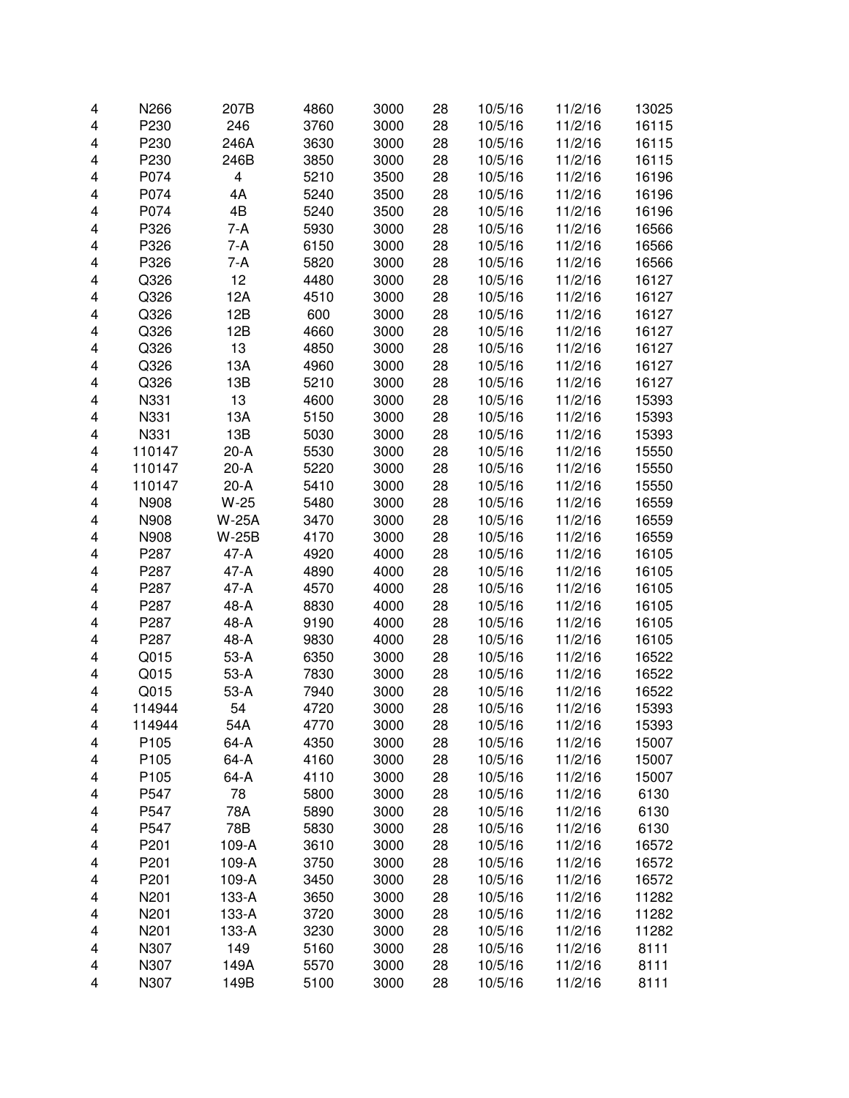| 4 | N266             | 207B         | 4860 | 3000         | 28 | 10/5/16 | 11/2/16 | 13025 |
|---|------------------|--------------|------|--------------|----|---------|---------|-------|
| 4 | P230             | 246          | 3760 | 3000         | 28 | 10/5/16 | 11/2/16 | 16115 |
| 4 | P230             | 246A         | 3630 | 3000         | 28 | 10/5/16 | 11/2/16 | 16115 |
| 4 | P230             | 246B         | 3850 | 3000         | 28 | 10/5/16 | 11/2/16 | 16115 |
| 4 | P074             | 4            | 5210 | 3500         | 28 | 10/5/16 | 11/2/16 | 16196 |
| 4 | P074             | 4A           | 5240 | 3500         | 28 | 10/5/16 | 11/2/16 | 16196 |
| 4 | P074             | 4B           | 5240 | 3500         | 28 | 10/5/16 | 11/2/16 | 16196 |
| 4 | P326             | 7-A          | 5930 | 3000         | 28 | 10/5/16 | 11/2/16 | 16566 |
| 4 | P326             | 7-A          | 6150 | 3000         | 28 | 10/5/16 | 11/2/16 | 16566 |
| 4 | P326             | 7-A          | 5820 | 3000         | 28 | 10/5/16 | 11/2/16 | 16566 |
| 4 | Q326             | 12           | 4480 | 3000         | 28 | 10/5/16 | 11/2/16 | 16127 |
| 4 | Q326             | 12A          | 4510 | 3000         | 28 | 10/5/16 | 11/2/16 | 16127 |
| 4 | Q326             | 12B          | 600  | 3000         | 28 | 10/5/16 | 11/2/16 | 16127 |
| 4 | Q326             | 12B          | 4660 | 3000         | 28 | 10/5/16 | 11/2/16 | 16127 |
| 4 | Q326             | 13           | 4850 | 3000         | 28 | 10/5/16 | 11/2/16 | 16127 |
| 4 | Q326             | 13A          | 4960 | 3000         | 28 | 10/5/16 | 11/2/16 | 16127 |
| 4 | Q326             | 13B          | 5210 | 3000         | 28 | 10/5/16 | 11/2/16 | 16127 |
| 4 | N331             | 13           | 4600 | 3000         | 28 | 10/5/16 | 11/2/16 | 15393 |
| 4 | N331             | 13A          | 5150 | 3000         | 28 | 10/5/16 | 11/2/16 | 15393 |
| 4 | N331             | 13B          |      | 3000         |    | 10/5/16 |         |       |
|   |                  | $20-A$       | 5030 |              | 28 |         | 11/2/16 | 15393 |
| 4 | 110147           | $20-A$       | 5530 | 3000<br>3000 | 28 | 10/5/16 | 11/2/16 | 15550 |
| 4 | 110147           |              | 5220 |              | 28 | 10/5/16 | 11/2/16 | 15550 |
| 4 | 110147           | $20-A$       | 5410 | 3000         | 28 | 10/5/16 | 11/2/16 | 15550 |
| 4 | N908             | $W-25$       | 5480 | 3000         | 28 | 10/5/16 | 11/2/16 | 16559 |
| 4 | N908             | <b>W-25A</b> | 3470 | 3000         | 28 | 10/5/16 | 11/2/16 | 16559 |
| 4 | N908             | <b>W-25B</b> | 4170 | 3000         | 28 | 10/5/16 | 11/2/16 | 16559 |
| 4 | P287             | $47-A$       | 4920 | 4000         | 28 | 10/5/16 | 11/2/16 | 16105 |
| 4 | P287             | 47-A         | 4890 | 4000         | 28 | 10/5/16 | 11/2/16 | 16105 |
| 4 | P287             | 47-A         | 4570 | 4000         | 28 | 10/5/16 | 11/2/16 | 16105 |
| 4 | P287             | 48-A         | 8830 | 4000         | 28 | 10/5/16 | 11/2/16 | 16105 |
| 4 | P287             | 48-A         | 9190 | 4000         | 28 | 10/5/16 | 11/2/16 | 16105 |
| 4 | P287             | 48-A         | 9830 | 4000         | 28 | 10/5/16 | 11/2/16 | 16105 |
| 4 | Q015             | 53-A         | 6350 | 3000         | 28 | 10/5/16 | 11/2/16 | 16522 |
| 4 | Q015             | 53-A         | 7830 | 3000         | 28 | 10/5/16 | 11/2/16 | 16522 |
| 4 | Q015             | $53-A$       | 7940 | 3000         | 28 | 10/5/16 | 11/2/16 | 16522 |
| 4 | 114944           | 54           | 4720 | 3000         | 28 | 10/5/16 | 11/2/16 | 15393 |
| 4 | 114944           | 54A          | 4770 | 3000         | 28 | 10/5/16 | 11/2/16 | 15393 |
| 4 | P <sub>105</sub> | 64-A         | 4350 | 3000         | 28 | 10/5/16 | 11/2/16 | 15007 |
| 4 | P105             | 64-A         | 4160 | 3000         | 28 | 10/5/16 | 11/2/16 | 15007 |
| 4 | P105             | 64-A         | 4110 | 3000         | 28 | 10/5/16 | 11/2/16 | 15007 |
| 4 | P547             | 78           | 5800 | 3000         | 28 | 10/5/16 | 11/2/16 | 6130  |
| 4 | P547             | 78A          | 5890 | 3000         | 28 | 10/5/16 | 11/2/16 | 6130  |
| 4 | P547             | 78B          | 5830 | 3000         | 28 | 10/5/16 | 11/2/16 | 6130  |
| 4 | P201             | 109-A        | 3610 | 3000         | 28 | 10/5/16 | 11/2/16 | 16572 |
| 4 | P201             | 109-A        | 3750 | 3000         | 28 | 10/5/16 | 11/2/16 | 16572 |
| 4 | P201             | 109-A        | 3450 | 3000         | 28 | 10/5/16 | 11/2/16 | 16572 |
| 4 | N201             | 133-A        | 3650 | 3000         | 28 | 10/5/16 | 11/2/16 | 11282 |
| 4 | N201             | 133-A        | 3720 | 3000         | 28 | 10/5/16 | 11/2/16 | 11282 |
| 4 | N201             | 133-A        | 3230 | 3000         | 28 | 10/5/16 | 11/2/16 | 11282 |
| 4 | N307             | 149          | 5160 | 3000         | 28 | 10/5/16 | 11/2/16 | 8111  |
| 4 | N307             | 149A         | 5570 | 3000         | 28 | 10/5/16 | 11/2/16 | 8111  |
| 4 | N307             | 149B         | 5100 | 3000         | 28 | 10/5/16 | 11/2/16 | 8111  |
|   |                  |              |      |              |    |         |         |       |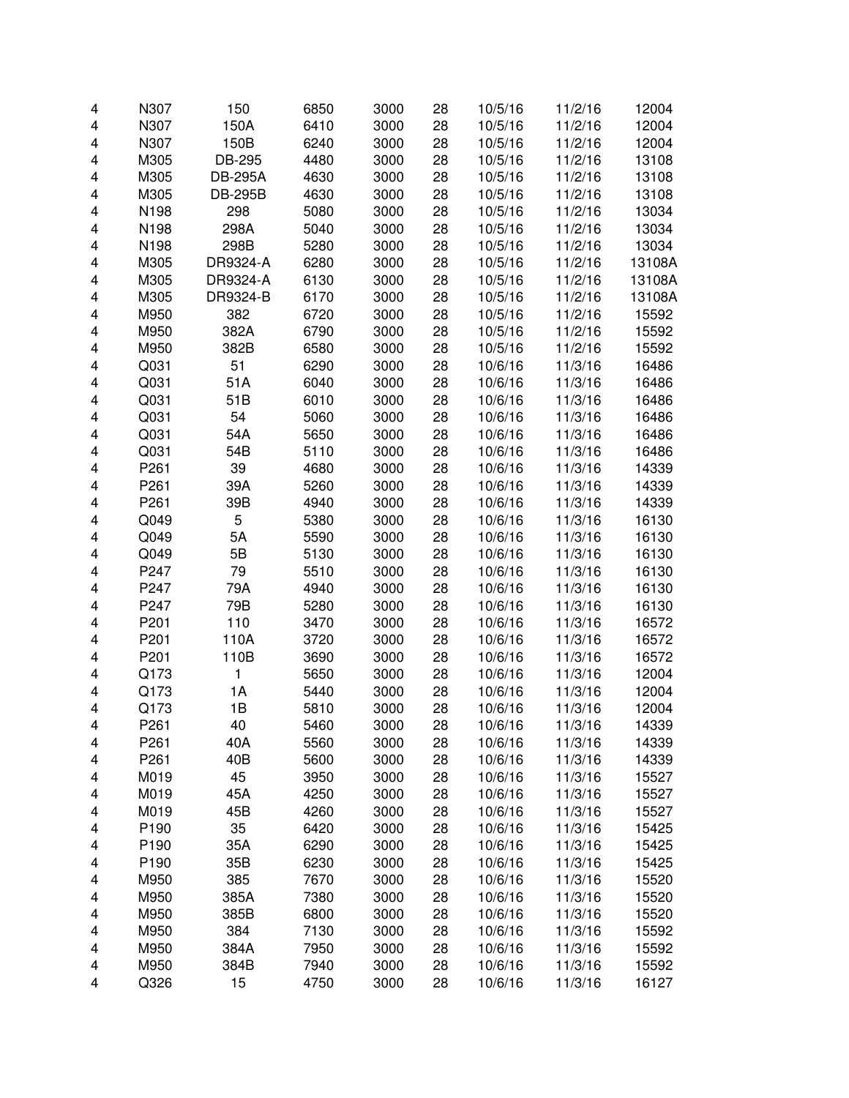| 4      | N307         | 150            | 6850         | 3000         | 28       | 10/5/16            | 11/2/16            | 12004          |
|--------|--------------|----------------|--------------|--------------|----------|--------------------|--------------------|----------------|
| 4      | N307         | 150A           | 6410         | 3000         | 28       | 10/5/16            | 11/2/16            | 12004          |
| 4      | N307         | 150B           | 6240         | 3000         | 28       | 10/5/16            | 11/2/16            | 12004          |
| 4      | M305         | DB-295         | 4480         | 3000         | 28       | 10/5/16            | 11/2/16            | 13108          |
| 4      | M305         | <b>DB-295A</b> | 4630         | 3000         | 28       | 10/5/16            | 11/2/16            | 13108          |
| 4      | M305         | <b>DB-295B</b> | 4630         | 3000         | 28       | 10/5/16            | 11/2/16            | 13108          |
| 4      | N198         | 298            | 5080         | 3000         | 28       | 10/5/16            | 11/2/16            | 13034          |
| 4      | N198         | 298A           | 5040         | 3000         | 28       | 10/5/16            | 11/2/16            | 13034          |
| 4      | N198         | 298B           | 5280         | 3000         | 28       | 10/5/16            | 11/2/16            | 13034          |
| 4      | M305         | DR9324-A       | 6280         | 3000         | 28       | 10/5/16            | 11/2/16            | 13108A         |
| 4      | M305         | DR9324-A       | 6130         | 3000         | 28       | 10/5/16            | 11/2/16            | 13108A         |
| 4      | M305         | DR9324-B       | 6170         | 3000         | 28       | 10/5/16            | 11/2/16            | 13108A         |
| 4      | M950         | 382            | 6720         | 3000         | 28       | 10/5/16            | 11/2/16            | 15592          |
| 4      | M950         | 382A           | 6790         | 3000         | 28       | 10/5/16            | 11/2/16            | 15592          |
| 4      | M950         | 382B           | 6580         | 3000         | 28       | 10/5/16            | 11/2/16            | 15592          |
| 4      | Q031         | 51             | 6290         | 3000         | 28       | 10/6/16            | 11/3/16            | 16486          |
| 4      | Q031         | 51A            | 6040         | 3000         | 28       | 10/6/16            | 11/3/16            | 16486          |
| 4      | Q031         | 51B            | 6010         | 3000         | 28       | 10/6/16            | 11/3/16            | 16486          |
| 4      | Q031         | 54             | 5060         | 3000         | 28       | 10/6/16            | 11/3/16            | 16486          |
| 4      | Q031         | 54A            | 5650         | 3000         | 28       | 10/6/16            | 11/3/16            | 16486          |
| 4      | Q031         | 54B            | 5110         | 3000         | 28       | 10/6/16            | 11/3/16            | 16486          |
| 4      | P261         | 39             | 4680         | 3000         | 28       | 10/6/16            | 11/3/16            | 14339          |
| 4      | P261         | 39A            | 5260         | 3000         | 28       | 10/6/16            | 11/3/16            | 14339          |
| 4      | P261         | 39B            | 4940         | 3000         | 28       | 10/6/16            | 11/3/16            | 14339          |
| 4      | Q049         | 5              | 5380         | 3000         | 28       | 10/6/16            | 11/3/16            | 16130          |
| 4      | Q049         | 5A             | 5590         | 3000         | 28       | 10/6/16            | 11/3/16            | 16130          |
| 4      | Q049         | 5B             | 5130         | 3000         | 28       | 10/6/16            | 11/3/16            | 16130          |
| 4      | P247         | 79             | 5510         | 3000         | 28       | 10/6/16            | 11/3/16            | 16130          |
| 4      | P247         | 79A            | 4940         | 3000         | 28       | 10/6/16            | 11/3/16            | 16130          |
| 4      | P247         | 79B            | 5280         | 3000         | 28       | 10/6/16            | 11/3/16            | 16130          |
| 4      | P201         | 110            | 3470         | 3000         | 28       | 10/6/16            | 11/3/16            | 16572          |
| 4      | P201         | 110A           | 3720         | 3000         | 28       | 10/6/16            | 11/3/16            | 16572          |
| 4      | P201         | 110B           | 3690         | 3000         | 28       | 10/6/16            | 11/3/16            | 16572          |
| 4      | Q173         | 1              | 5650         | 3000         | 28       | 10/6/16            | 11/3/16            | 12004          |
| 4      | Q173         | 1A             | 5440         | 3000         | 28       | 10/6/16            | 11/3/16            | 12004          |
| 4      | Q173         | 1B             | 5810         | 3000         | 28       | 10/6/16            | 11/3/16            | 12004          |
|        |              |                |              |              |          |                    |                    |                |
| 4<br>4 | P261<br>P261 | 40<br>40A      | 5460<br>5560 | 3000<br>3000 | 28<br>28 | 10/6/16<br>10/6/16 | 11/3/16<br>11/3/16 | 14339<br>14339 |
|        | P261         | 40B            | 5600         | 3000         | 28       | 10/6/16            | 11/3/16            | 14339          |
| 4      | M019         | 45             | 3950         | 3000         | 28       |                    |                    | 15527          |
| 4      | M019         |                |              |              |          | 10/6/16            | 11/3/16            |                |
| 4      |              | 45A            | 4250         | 3000         | 28       | 10/6/16            | 11/3/16            | 15527          |
| 4      | M019         | 45B            | 4260         | 3000         | 28       | 10/6/16            | 11/3/16            | 15527          |
| 4      | P190         | 35             | 6420         | 3000         | 28       | 10/6/16            | 11/3/16            | 15425          |
| 4      | P190         | 35A            | 6290         | 3000         | 28       | 10/6/16            | 11/3/16            | 15425          |
| 4      | P190         | 35B            | 6230         | 3000         | 28       | 10/6/16            | 11/3/16            | 15425          |
| 4      | M950         | 385            | 7670         | 3000         | 28       | 10/6/16            | 11/3/16            | 15520          |
| 4      | M950         | 385A           | 7380         | 3000         | 28       | 10/6/16            | 11/3/16            | 15520          |
| 4      | M950         | 385B           | 6800         | 3000         | 28       | 10/6/16            | 11/3/16            | 15520          |
| 4      | M950         | 384            | 7130         | 3000         | 28       | 10/6/16            | 11/3/16            | 15592          |
| 4      | M950         | 384A           | 7950         | 3000         | 28       | 10/6/16            | 11/3/16            | 15592          |
| 4      | M950         | 384B           | 7940         | 3000         | 28       | 10/6/16            | 11/3/16            | 15592          |
| 4      | Q326         | 15             | 4750         | 3000         | 28       | 10/6/16            | 11/3/16            | 16127          |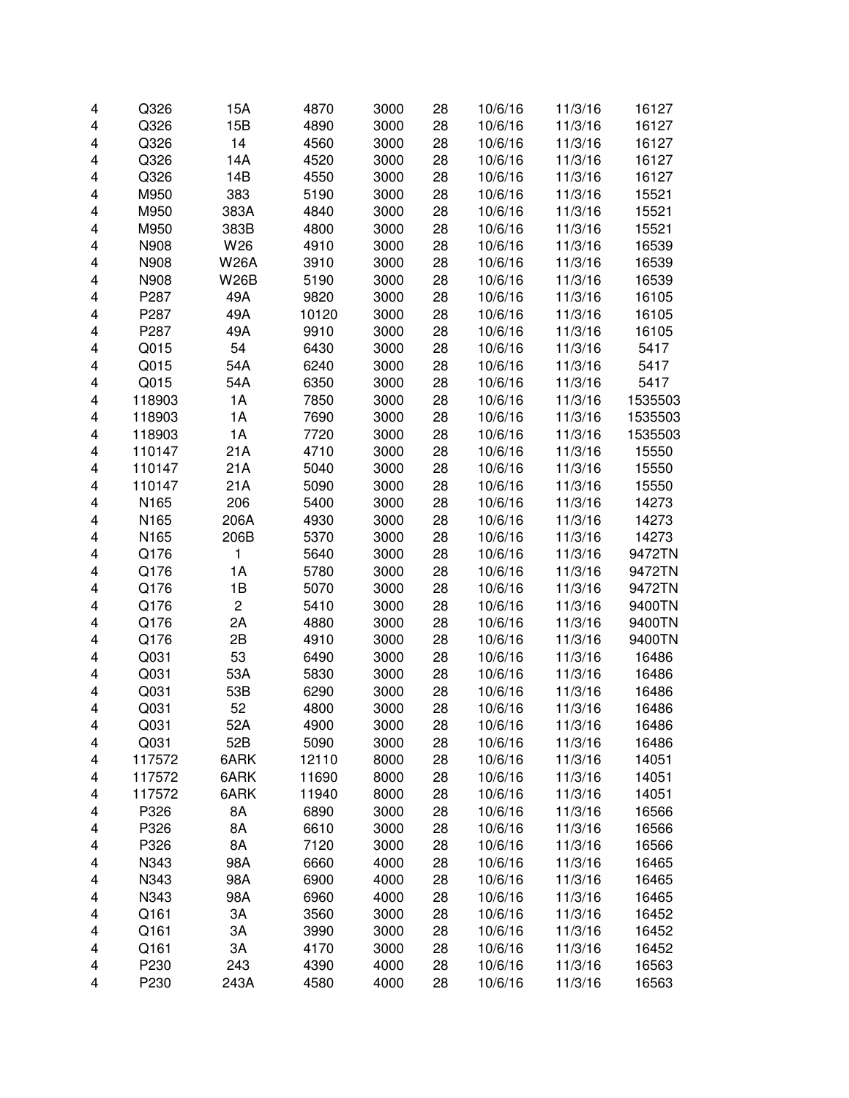|   | Q326   | 15A            | 4870  | 3000 |    | 10/6/16 | 11/3/16 | 16127   |
|---|--------|----------------|-------|------|----|---------|---------|---------|
| 4 |        |                |       |      | 28 |         |         |         |
| 4 | Q326   | 15B            | 4890  | 3000 | 28 | 10/6/16 | 11/3/16 | 16127   |
| 4 | Q326   | 14             | 4560  | 3000 | 28 | 10/6/16 | 11/3/16 | 16127   |
| 4 | Q326   | 14A            | 4520  | 3000 | 28 | 10/6/16 | 11/3/16 | 16127   |
| 4 | Q326   | 14B            | 4550  | 3000 | 28 | 10/6/16 | 11/3/16 | 16127   |
| 4 | M950   | 383            | 5190  | 3000 | 28 | 10/6/16 | 11/3/16 | 15521   |
| 4 | M950   | 383A           | 4840  | 3000 | 28 | 10/6/16 | 11/3/16 | 15521   |
| 4 | M950   | 383B           | 4800  | 3000 | 28 | 10/6/16 | 11/3/16 | 15521   |
| 4 | N908   | W26            | 4910  | 3000 | 28 | 10/6/16 | 11/3/16 | 16539   |
| 4 | N908   | <b>W26A</b>    | 3910  | 3000 | 28 | 10/6/16 | 11/3/16 | 16539   |
| 4 | N908   | <b>W26B</b>    | 5190  | 3000 | 28 | 10/6/16 | 11/3/16 | 16539   |
| 4 | P287   | 49A            | 9820  | 3000 | 28 | 10/6/16 | 11/3/16 | 16105   |
| 4 | P287   | 49A            | 10120 | 3000 | 28 | 10/6/16 | 11/3/16 | 16105   |
| 4 | P287   | 49A            | 9910  | 3000 | 28 | 10/6/16 | 11/3/16 | 16105   |
| 4 | Q015   | 54             | 6430  | 3000 | 28 | 10/6/16 | 11/3/16 | 5417    |
| 4 | Q015   | 54A            | 6240  | 3000 | 28 | 10/6/16 | 11/3/16 | 5417    |
| 4 | Q015   | 54A            | 6350  | 3000 | 28 | 10/6/16 | 11/3/16 | 5417    |
| 4 | 118903 | 1A             | 7850  | 3000 | 28 | 10/6/16 | 11/3/16 | 1535503 |
| 4 | 118903 | 1A             | 7690  | 3000 | 28 | 10/6/16 | 11/3/16 | 1535503 |
| 4 | 118903 | 1A             | 7720  | 3000 | 28 | 10/6/16 | 11/3/16 | 1535503 |
| 4 | 110147 | 21A            | 4710  | 3000 | 28 | 10/6/16 | 11/3/16 | 15550   |
| 4 | 110147 | 21A            | 5040  | 3000 | 28 | 10/6/16 | 11/3/16 | 15550   |
| 4 | 110147 | 21A            | 5090  | 3000 | 28 | 10/6/16 | 11/3/16 | 15550   |
| 4 | N165   | 206            | 5400  | 3000 | 28 | 10/6/16 | 11/3/16 | 14273   |
| 4 | N165   | 206A           | 4930  | 3000 | 28 | 10/6/16 | 11/3/16 | 14273   |
| 4 | N165   | 206B           | 5370  | 3000 | 28 | 10/6/16 | 11/3/16 | 14273   |
| 4 | Q176   | 1              | 5640  | 3000 | 28 | 10/6/16 | 11/3/16 | 9472TN  |
| 4 | Q176   | 1A             | 5780  | 3000 | 28 | 10/6/16 | 11/3/16 | 9472TN  |
| 4 | Q176   | 1B             | 5070  | 3000 | 28 | 10/6/16 | 11/3/16 | 9472TN  |
| 4 | Q176   | $\overline{c}$ | 5410  | 3000 | 28 | 10/6/16 | 11/3/16 | 9400TN  |
| 4 | Q176   | 2A             | 4880  | 3000 | 28 | 10/6/16 | 11/3/16 | 9400TN  |
|   |        | 2B             |       |      |    |         |         |         |
| 4 | Q176   |                | 4910  | 3000 | 28 | 10/6/16 | 11/3/16 | 9400TN  |
| 4 | Q031   | 53             | 6490  | 3000 | 28 | 10/6/16 | 11/3/16 | 16486   |
| 4 | Q031   | 53A            | 5830  | 3000 | 28 | 10/6/16 | 11/3/16 | 16486   |
| 4 | Q031   | 53B            | 6290  | 3000 | 28 | 10/6/16 | 11/3/16 | 16486   |
| 4 | Q031   | 52             | 4800  | 3000 | 28 | 10/6/16 | 11/3/16 | 16486   |
| 4 | Q031   | 52A            | 4900  | 3000 | 28 | 10/6/16 | 11/3/16 | 16486   |
| 4 | Q031   | 52B            | 5090  | 3000 | 28 | 10/6/16 | 11/3/16 | 16486   |
| 4 | 117572 | 6ARK           | 12110 | 8000 | 28 | 10/6/16 | 11/3/16 | 14051   |
| 4 | 117572 | 6ARK           | 11690 | 8000 | 28 | 10/6/16 | 11/3/16 | 14051   |
| 4 | 117572 | 6ARK           | 11940 | 8000 | 28 | 10/6/16 | 11/3/16 | 14051   |
| 4 | P326   | 8A             | 6890  | 3000 | 28 | 10/6/16 | 11/3/16 | 16566   |
| 4 | P326   | 8A             | 6610  | 3000 | 28 | 10/6/16 | 11/3/16 | 16566   |
| 4 | P326   | 8A             | 7120  | 3000 | 28 | 10/6/16 | 11/3/16 | 16566   |
| 4 | N343   | 98A            | 6660  | 4000 | 28 | 10/6/16 | 11/3/16 | 16465   |
| 4 | N343   | 98A            | 6900  | 4000 | 28 | 10/6/16 | 11/3/16 | 16465   |
| 4 | N343   | 98A            | 6960  | 4000 | 28 | 10/6/16 | 11/3/16 | 16465   |
| 4 | Q161   | ЗA             | 3560  | 3000 | 28 | 10/6/16 | 11/3/16 | 16452   |
| 4 | Q161   | ЗA             | 3990  | 3000 | 28 | 10/6/16 | 11/3/16 | 16452   |
| 4 | Q161   | ЗA             | 4170  | 3000 | 28 | 10/6/16 | 11/3/16 | 16452   |
| 4 | P230   | 243            | 4390  | 4000 | 28 | 10/6/16 | 11/3/16 | 16563   |
| 4 | P230   | 243A           | 4580  | 4000 | 28 | 10/6/16 | 11/3/16 | 16563   |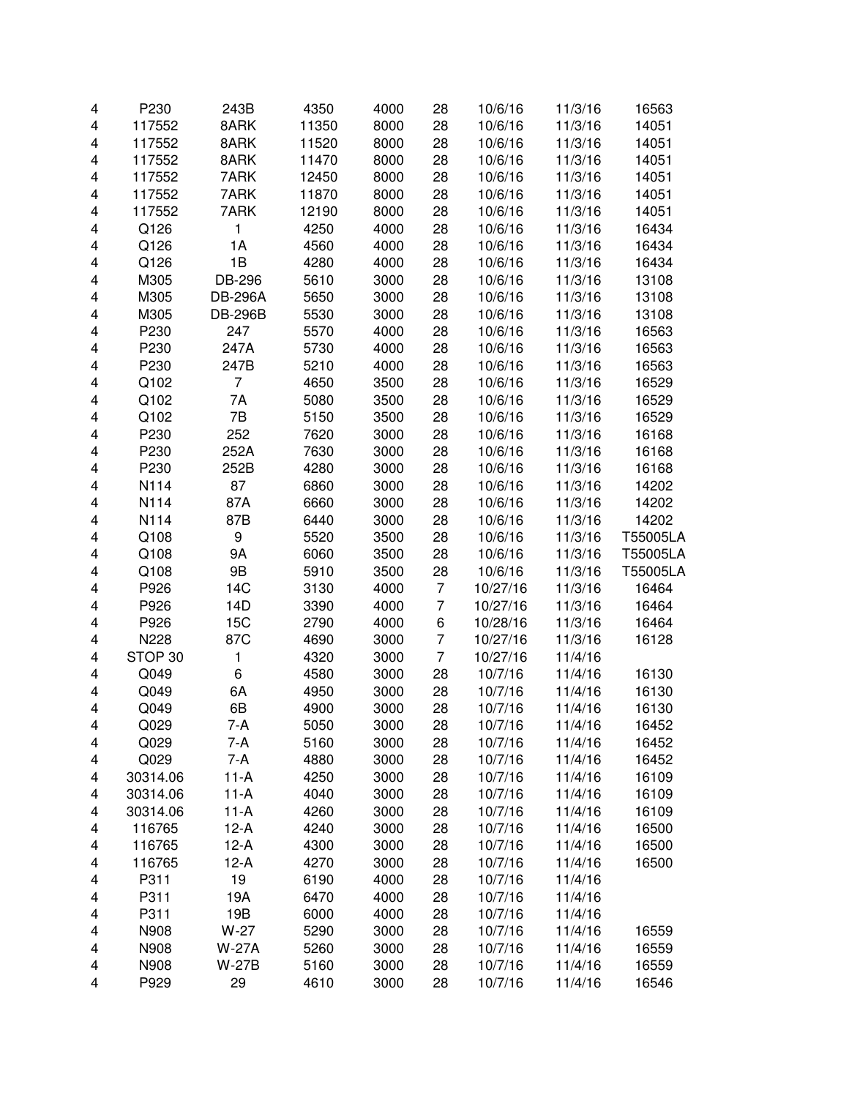| 4                       | P230     | 243B           | 4350  | 4000 | 28             | 10/6/16  | 11/3/16 | 16563    |
|-------------------------|----------|----------------|-------|------|----------------|----------|---------|----------|
| 4                       | 117552   | 8ARK           | 11350 | 8000 | 28             | 10/6/16  | 11/3/16 | 14051    |
| 4                       | 117552   | 8ARK           | 11520 | 8000 | 28             | 10/6/16  | 11/3/16 | 14051    |
| 4                       | 117552   | 8ARK           | 11470 | 8000 | 28             | 10/6/16  | 11/3/16 | 14051    |
| 4                       | 117552   | 7ARK           | 12450 | 8000 | 28             | 10/6/16  | 11/3/16 | 14051    |
| 4                       | 117552   | 7ARK           | 11870 | 8000 | 28             | 10/6/16  | 11/3/16 | 14051    |
| 4                       | 117552   | 7ARK           | 12190 | 8000 | 28             | 10/6/16  | 11/3/16 | 14051    |
| 4                       | Q126     | 1              | 4250  | 4000 | 28             | 10/6/16  | 11/3/16 | 16434    |
| 4                       | Q126     | 1A             | 4560  | 4000 | 28             | 10/6/16  | 11/3/16 | 16434    |
| 4                       | Q126     | 1B             | 4280  | 4000 | 28             | 10/6/16  | 11/3/16 | 16434    |
| 4                       | M305     | DB-296         | 5610  | 3000 | 28             | 10/6/16  | 11/3/16 | 13108    |
| 4                       | M305     | <b>DB-296A</b> | 5650  | 3000 | 28             | 10/6/16  | 11/3/16 | 13108    |
| 4                       | M305     | <b>DB-296B</b> | 5530  | 3000 | 28             | 10/6/16  | 11/3/16 | 13108    |
| 4                       | P230     | 247            | 5570  | 4000 | 28             | 10/6/16  | 11/3/16 | 16563    |
| 4                       | P230     | 247A           | 5730  | 4000 | 28             | 10/6/16  | 11/3/16 | 16563    |
| 4                       | P230     | 247B           | 5210  | 4000 | 28             | 10/6/16  | 11/3/16 | 16563    |
| 4                       | Q102     | 7              | 4650  | 3500 | 28             | 10/6/16  | 11/3/16 | 16529    |
| 4                       | Q102     | 7A             | 5080  | 3500 | 28             | 10/6/16  | 11/3/16 | 16529    |
| 4                       | Q102     | 7B             | 5150  | 3500 | 28             | 10/6/16  | 11/3/16 | 16529    |
| 4                       | P230     | 252            | 7620  | 3000 | 28             | 10/6/16  | 11/3/16 | 16168    |
| 4                       | P230     | 252A           | 7630  | 3000 | 28             | 10/6/16  | 11/3/16 | 16168    |
| 4                       | P230     | 252B           | 4280  | 3000 | 28             | 10/6/16  | 11/3/16 | 16168    |
| 4                       | N114     | 87             | 6860  | 3000 | 28             | 10/6/16  | 11/3/16 | 14202    |
| 4                       | N114     | 87A            | 6660  | 3000 | 28             | 10/6/16  | 11/3/16 | 14202    |
| 4                       | N114     | 87B            | 6440  | 3000 | 28             | 10/6/16  | 11/3/16 | 14202    |
| 4                       | Q108     | 9              | 5520  | 3500 | 28             | 10/6/16  | 11/3/16 | T55005LA |
| 4                       | Q108     | <b>9A</b>      | 6060  | 3500 | 28             | 10/6/16  | 11/3/16 | T55005LA |
| 4                       | Q108     | 9B             | 5910  | 3500 | 28             | 10/6/16  | 11/3/16 | T55005LA |
| 4                       | P926     | 14C            | 3130  | 4000 | 7              | 10/27/16 | 11/3/16 | 16464    |
| 4                       | P926     | 14D            | 3390  | 4000 | 7              | 10/27/16 | 11/3/16 | 16464    |
| 4                       | P926     | 15C            | 2790  | 4000 | 6              | 10/28/16 | 11/3/16 | 16464    |
| 4                       | N228     | 87C            | 4690  | 3000 | 7              | 10/27/16 | 11/3/16 | 16128    |
| $\overline{\mathbf{4}}$ | STOP 30  | 1              | 4320  | 3000 | $\overline{7}$ | 10/27/16 | 11/4/16 |          |
| 4                       | Q049     | 6              | 4580  | 3000 | 28             | 10/7/16  | 11/4/16 | 16130    |
| 4                       | Q049     | 6A             | 4950  | 3000 | 28             | 10/7/16  | 11/4/16 | 16130    |
| 4                       | Q049     | 6B             | 4900  | 3000 | 28             | 10/7/16  | 11/4/16 | 16130    |
| 4                       | Q029     | 7-A            | 5050  | 3000 | 28             | 10/7/16  | 11/4/16 | 16452    |
| 4                       | Q029     | 7-A            | 5160  | 3000 | 28             | 10/7/16  | 11/4/16 | 16452    |
| 4                       | Q029     | 7-A            | 4880  | 3000 | 28             | 10/7/16  | 11/4/16 | 16452    |
| 4                       | 30314.06 | $11-A$         | 4250  | 3000 | 28             | 10/7/16  | 11/4/16 | 16109    |
| 4                       | 30314.06 | $11-A$         | 4040  | 3000 | 28             | 10/7/16  | 11/4/16 | 16109    |
| 4                       | 30314.06 | $11-A$         | 4260  | 3000 | 28             | 10/7/16  | 11/4/16 | 16109    |
| 4                       | 116765   | $12-A$         | 4240  | 3000 | 28             | 10/7/16  | 11/4/16 | 16500    |
| 4                       | 116765   | $12-A$         | 4300  | 3000 | 28             | 10/7/16  | 11/4/16 | 16500    |
| 4                       | 116765   | $12-A$         | 4270  | 3000 | 28             | 10/7/16  | 11/4/16 | 16500    |
| 4                       | P311     | 19             | 6190  | 4000 | 28             | 10/7/16  | 11/4/16 |          |
| 4                       | P311     | 19A            | 6470  | 4000 | 28             | 10/7/16  | 11/4/16 |          |
| 4                       | P311     | 19B            | 6000  | 4000 | 28             | 10/7/16  | 11/4/16 |          |
| 4                       | N908     | $W-27$         | 5290  | 3000 | 28             | 10/7/16  | 11/4/16 | 16559    |
| 4                       | N908     | <b>W-27A</b>   | 5260  | 3000 | 28             | 10/7/16  | 11/4/16 | 16559    |
| 4                       | N908     | <b>W-27B</b>   | 5160  | 3000 | 28             | 10/7/16  | 11/4/16 | 16559    |
| 4                       | P929     | 29             | 4610  | 3000 | 28             | 10/7/16  | 11/4/16 | 16546    |
|                         |          |                |       |      |                |          |         |          |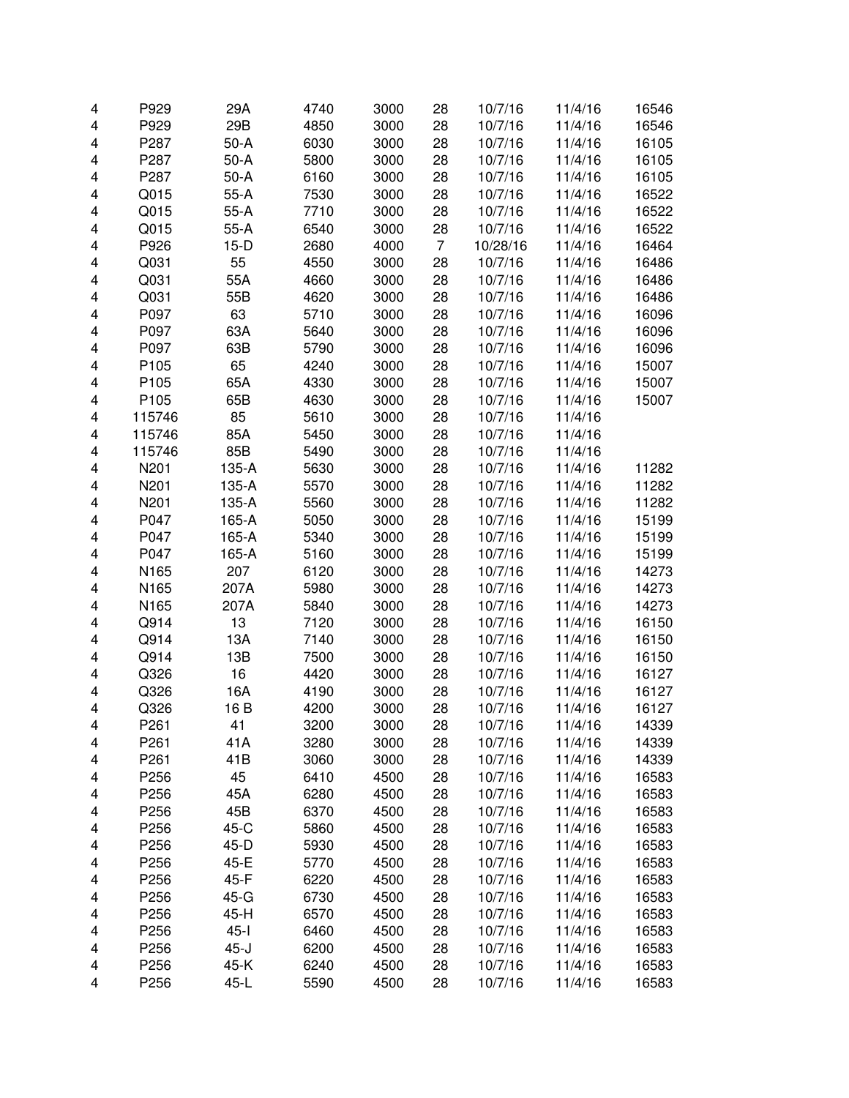| 4 | P929   | 29A          | 4740 | 3000 | 28             | 10/7/16  | 11/4/16 | 16546 |
|---|--------|--------------|------|------|----------------|----------|---------|-------|
| 4 | P929   | 29B          | 4850 | 3000 | 28             | 10/7/16  | 11/4/16 | 16546 |
| 4 | P287   | $50-A$       | 6030 | 3000 | 28             | 10/7/16  | 11/4/16 | 16105 |
| 4 | P287   | $50-A$       | 5800 | 3000 | 28             | 10/7/16  | 11/4/16 | 16105 |
| 4 | P287   | $50-A$       | 6160 | 3000 | 28             | 10/7/16  | 11/4/16 | 16105 |
| 4 | Q015   | $55-A$       | 7530 | 3000 | 28             | 10/7/16  | 11/4/16 | 16522 |
| 4 | Q015   | $55-A$       | 7710 | 3000 | 28             | 10/7/16  | 11/4/16 | 16522 |
| 4 | Q015   | $55-A$       | 6540 | 3000 | 28             | 10/7/16  | 11/4/16 | 16522 |
| 4 | P926   | $15-D$       | 2680 | 4000 | $\overline{7}$ | 10/28/16 | 11/4/16 | 16464 |
| 4 | Q031   | 55           | 4550 | 3000 | 28             | 10/7/16  | 11/4/16 | 16486 |
| 4 | Q031   | 55A          | 4660 | 3000 | 28             | 10/7/16  | 11/4/16 | 16486 |
| 4 | Q031   | 55B          | 4620 | 3000 | 28             | 10/7/16  | 11/4/16 | 16486 |
| 4 | P097   | 63           | 5710 | 3000 | 28             | 10/7/16  | 11/4/16 | 16096 |
| 4 | P097   | 63A          | 5640 | 3000 | 28             | 10/7/16  | 11/4/16 | 16096 |
| 4 | P097   | 63B          | 5790 | 3000 | 28             | 10/7/16  | 11/4/16 | 16096 |
| 4 | P105   | 65           | 4240 | 3000 | 28             | 10/7/16  | 11/4/16 | 15007 |
| 4 | P105   | 65A          | 4330 | 3000 | 28             | 10/7/16  | 11/4/16 | 15007 |
| 4 | P105   | 65B          | 4630 | 3000 | 28             | 10/7/16  | 11/4/16 | 15007 |
| 4 | 115746 | 85           | 5610 | 3000 | 28             | 10/7/16  | 11/4/16 |       |
| 4 | 115746 | 85A          | 5450 | 3000 | 28             | 10/7/16  | 11/4/16 |       |
| 4 | 115746 | 85B          | 5490 | 3000 | 28             | 10/7/16  | 11/4/16 |       |
| 4 | N201   | 135-A        | 5630 | 3000 | 28             | 10/7/16  | 11/4/16 | 11282 |
| 4 | N201   | 135-A        | 5570 | 3000 | 28             | 10/7/16  | 11/4/16 | 11282 |
| 4 | N201   | 135-A        | 5560 | 3000 | 28             | 10/7/16  | 11/4/16 | 11282 |
| 4 | P047   | 165-A        | 5050 | 3000 | 28             | 10/7/16  | 11/4/16 | 15199 |
| 4 | P047   | 165-A        | 5340 | 3000 | 28             | 10/7/16  | 11/4/16 | 15199 |
| 4 | P047   | 165-A        | 5160 | 3000 | 28             | 10/7/16  | 11/4/16 | 15199 |
| 4 | N165   | 207          | 6120 | 3000 | 28             | 10/7/16  | 11/4/16 | 14273 |
| 4 | N165   | 207A         | 5980 | 3000 | 28             | 10/7/16  | 11/4/16 | 14273 |
| 4 | N165   | 207A         | 5840 | 3000 | 28             | 10/7/16  | 11/4/16 | 14273 |
| 4 | Q914   | 13           | 7120 | 3000 | 28             | 10/7/16  | 11/4/16 | 16150 |
| 4 | Q914   | 13A          | 7140 | 3000 | 28             | 10/7/16  | 11/4/16 | 16150 |
| 4 | Q914   | 13B          | 7500 | 3000 | 28             | 10/7/16  | 11/4/16 | 16150 |
| 4 | Q326   | 16           | 4420 | 3000 | 28             | 10/7/16  | 11/4/16 | 16127 |
| 4 | Q326   | 16A          | 4190 | 3000 | 28             | 10/7/16  | 11/4/16 | 16127 |
| 4 | Q326   | 16 B         | 4200 | 3000 | 28             | 10/7/16  | 11/4/16 | 16127 |
| 4 | P261   | 41           | 3200 | 3000 | 28             | 10/7/16  | 11/4/16 | 14339 |
| 4 | P261   | 41A          | 3280 | 3000 | 28             | 10/7/16  | 11/4/16 | 14339 |
| 4 | P261   | 41B          | 3060 | 3000 | 28             | 10/7/16  | 11/4/16 | 14339 |
| 4 | P256   | 45           | 6410 | 4500 | 28             | 10/7/16  | 11/4/16 | 16583 |
| 4 | P256   | 45A          | 6280 | 4500 | 28             | 10/7/16  | 11/4/16 | 16583 |
| 4 | P256   | 45B          | 6370 | 4500 | 28             | 10/7/16  | 11/4/16 | 16583 |
| 4 | P256   | 45-C         | 5860 | 4500 | 28             | 10/7/16  | 11/4/16 | 16583 |
|   | P256   |              | 5930 | 4500 | 28             |          |         |       |
| 4 | P256   | 45-D<br>45-E |      | 4500 | 28             | 10/7/16  | 11/4/16 | 16583 |
| 4 | P256   |              | 5770 |      |                | 10/7/16  | 11/4/16 | 16583 |
| 4 |        | 45-F         | 6220 | 4500 | 28             | 10/7/16  | 11/4/16 | 16583 |
| 4 | P256   | 45-G         | 6730 | 4500 | 28             | 10/7/16  | 11/4/16 | 16583 |
| 4 | P256   | 45-H         | 6570 | 4500 | 28             | 10/7/16  | 11/4/16 | 16583 |
| 4 | P256   | $45 - 1$     | 6460 | 4500 | 28             | 10/7/16  | 11/4/16 | 16583 |
| 4 | P256   | $45 - J$     | 6200 | 4500 | 28             | 10/7/16  | 11/4/16 | 16583 |
| 4 | P256   | 45-K         | 6240 | 4500 | 28             | 10/7/16  | 11/4/16 | 16583 |
| 4 | P256   | 45-L         | 5590 | 4500 | 28             | 10/7/16  | 11/4/16 | 16583 |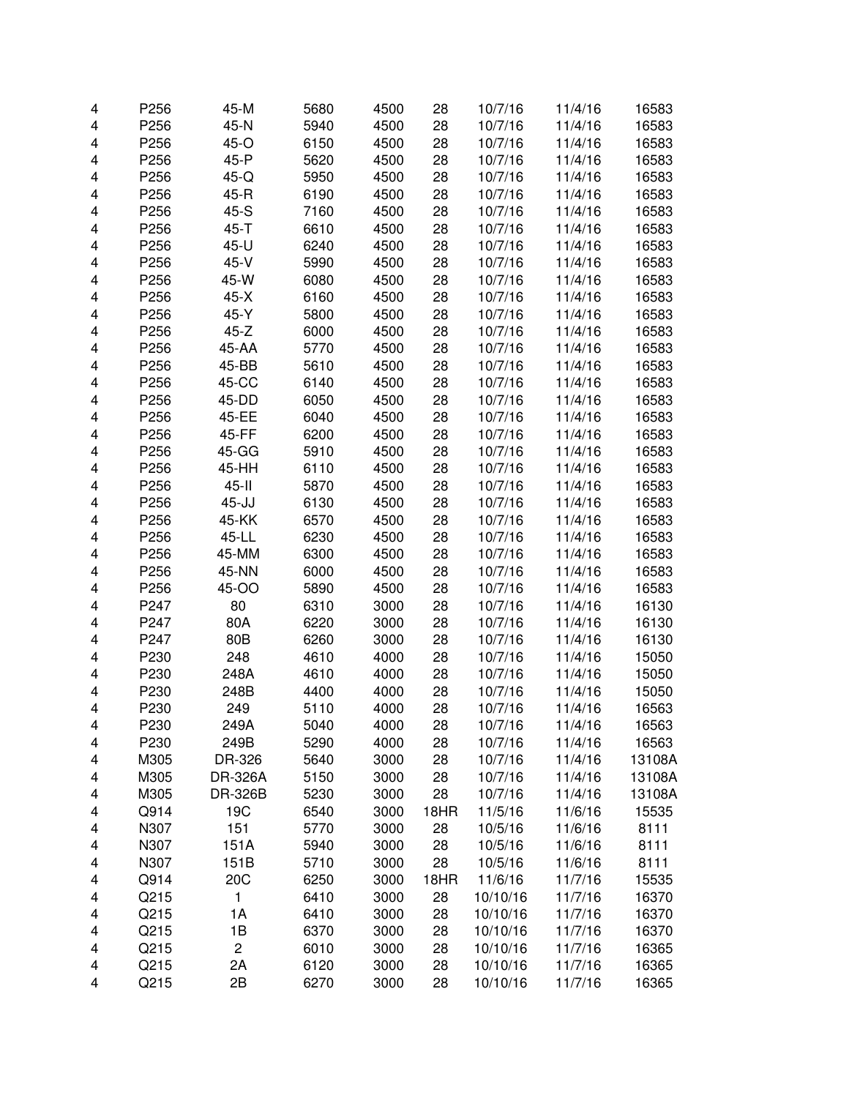| 4 | P256 | 45-M           | 5680 | 4500 | 28   | 10/7/16  | 11/4/16 | 16583  |
|---|------|----------------|------|------|------|----------|---------|--------|
| 4 | P256 | 45-N           | 5940 | 4500 | 28   | 10/7/16  | 11/4/16 | 16583  |
| 4 | P256 | 45-O           | 6150 | 4500 | 28   | 10/7/16  | 11/4/16 | 16583  |
| 4 | P256 | 45-P           | 5620 | 4500 | 28   | 10/7/16  | 11/4/16 | 16583  |
| 4 | P256 | 45-Q           | 5950 | 4500 | 28   | 10/7/16  | 11/4/16 | 16583  |
| 4 | P256 | 45-R           | 6190 | 4500 | 28   | 10/7/16  | 11/4/16 | 16583  |
| 4 | P256 | 45-S           | 7160 | 4500 | 28   | 10/7/16  | 11/4/16 | 16583  |
| 4 | P256 | $45 - T$       | 6610 | 4500 | 28   | 10/7/16  | 11/4/16 | 16583  |
| 4 | P256 | 45-U           | 6240 | 4500 | 28   | 10/7/16  | 11/4/16 | 16583  |
| 4 | P256 | $45-V$         | 5990 | 4500 | 28   | 10/7/16  | 11/4/16 | 16583  |
| 4 | P256 | 45-W           | 6080 | 4500 | 28   | 10/7/16  | 11/4/16 | 16583  |
| 4 | P256 | $45-X$         | 6160 | 4500 | 28   | 10/7/16  | 11/4/16 | 16583  |
| 4 | P256 | 45-Y           | 5800 | 4500 | 28   | 10/7/16  | 11/4/16 | 16583  |
| 4 | P256 | $45-Z$         | 6000 | 4500 | 28   | 10/7/16  | 11/4/16 | 16583  |
| 4 | P256 | 45-AA          | 5770 | 4500 | 28   | 10/7/16  | 11/4/16 | 16583  |
| 4 | P256 | 45-BB          | 5610 | 4500 | 28   | 10/7/16  | 11/4/16 | 16583  |
| 4 | P256 | 45-CC          | 6140 | 4500 | 28   | 10/7/16  | 11/4/16 | 16583  |
| 4 | P256 | 45-DD          | 6050 | 4500 | 28   | 10/7/16  | 11/4/16 | 16583  |
| 4 | P256 | 45-EE          | 6040 | 4500 | 28   | 10/7/16  | 11/4/16 | 16583  |
| 4 | P256 | 45-FF          | 6200 | 4500 | 28   | 10/7/16  | 11/4/16 | 16583  |
| 4 | P256 | 45-GG          | 5910 | 4500 | 28   | 10/7/16  | 11/4/16 | 16583  |
| 4 | P256 | 45-HH          | 6110 | 4500 | 28   | 10/7/16  | 11/4/16 | 16583  |
| 4 | P256 | $45 - 11$      | 5870 | 4500 | 28   | 10/7/16  | 11/4/16 | 16583  |
| 4 | P256 | $45 - JJ$      | 6130 | 4500 | 28   | 10/7/16  | 11/4/16 | 16583  |
| 4 | P256 | 45-KK          | 6570 | 4500 | 28   | 10/7/16  | 11/4/16 | 16583  |
| 4 | P256 | 45-LL          | 6230 | 4500 | 28   | 10/7/16  | 11/4/16 | 16583  |
| 4 | P256 | 45-MM          | 6300 | 4500 | 28   | 10/7/16  | 11/4/16 | 16583  |
| 4 | P256 | 45-NN          | 6000 | 4500 | 28   | 10/7/16  | 11/4/16 | 16583  |
| 4 | P256 | 45-OO          | 5890 | 4500 | 28   | 10/7/16  | 11/4/16 | 16583  |
| 4 | P247 | 80             | 6310 | 3000 | 28   | 10/7/16  | 11/4/16 | 16130  |
| 4 | P247 | 80A            | 6220 | 3000 | 28   | 10/7/16  | 11/4/16 | 16130  |
| 4 | P247 | 80B            | 6260 | 3000 | 28   | 10/7/16  | 11/4/16 | 16130  |
| 4 | P230 | 248            | 4610 | 4000 | 28   | 10/7/16  | 11/4/16 | 15050  |
| 4 | P230 | 248A           | 4610 | 4000 | 28   | 10/7/16  | 11/4/16 | 15050  |
| 4 | P230 | 248B           | 4400 | 4000 | 28   | 10/7/16  | 11/4/16 | 15050  |
| 4 | P230 | 249            | 5110 | 4000 | 28   | 10/7/16  | 11/4/16 | 16563  |
| 4 | P230 | 249A           | 5040 | 4000 | 28   | 10/7/16  | 11/4/16 | 16563  |
| 4 | P230 | 249B           | 5290 | 4000 | 28   | 10/7/16  | 11/4/16 | 16563  |
| 4 | M305 | DR-326         | 5640 | 3000 | 28   | 10/7/16  | 11/4/16 | 13108A |
| 4 | M305 | DR-326A        | 5150 | 3000 | 28   | 10/7/16  | 11/4/16 | 13108A |
| 4 | M305 | DR-326B        | 5230 | 3000 | 28   | 10/7/16  | 11/4/16 | 13108A |
| 4 | Q914 | 19C            | 6540 | 3000 | 18HR | 11/5/16  | 11/6/16 | 15535  |
| 4 | N307 | 151            | 5770 | 3000 | 28   | 10/5/16  | 11/6/16 | 8111   |
| 4 | N307 | 151A           | 5940 | 3000 | 28   | 10/5/16  | 11/6/16 | 8111   |
| 4 | N307 | 151B           | 5710 | 3000 | 28   | 10/5/16  | 11/6/16 | 8111   |
| 4 | Q914 | 20C            | 6250 | 3000 | 18HR | 11/6/16  | 11/7/16 | 15535  |
| 4 | Q215 | 1              | 6410 | 3000 | 28   | 10/10/16 | 11/7/16 | 16370  |
| 4 | Q215 | 1A             | 6410 | 3000 | 28   | 10/10/16 | 11/7/16 | 16370  |
| 4 | Q215 | 1B             | 6370 | 3000 | 28   | 10/10/16 | 11/7/16 | 16370  |
| 4 | Q215 | $\overline{c}$ | 6010 | 3000 | 28   | 10/10/16 | 11/7/16 | 16365  |
| 4 | Q215 | 2A             | 6120 | 3000 | 28   | 10/10/16 | 11/7/16 | 16365  |
| 4 | Q215 | 2B             | 6270 | 3000 | 28   | 10/10/16 | 11/7/16 | 16365  |
|   |      |                |      |      |      |          |         |        |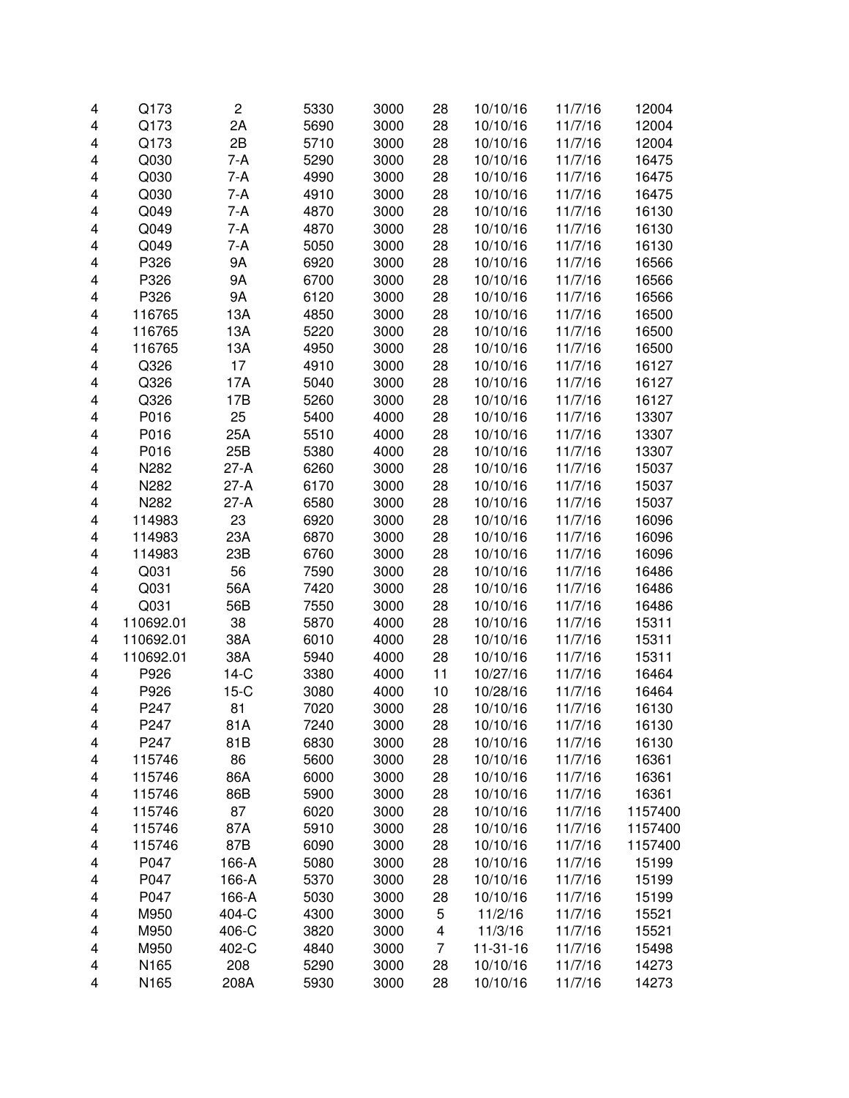| 4 | Q173      | $\overline{\mathbf{c}}$ | 5330 | 3000 | 28 | 10/10/16 | 11/7/16 | 12004   |
|---|-----------|-------------------------|------|------|----|----------|---------|---------|
| 4 | Q173      | 2A                      | 5690 | 3000 | 28 | 10/10/16 | 11/7/16 | 12004   |
| 4 | Q173      | 2B                      | 5710 | 3000 | 28 | 10/10/16 | 11/7/16 | 12004   |
| 4 | Q030      | 7-A                     | 5290 | 3000 | 28 | 10/10/16 | 11/7/16 | 16475   |
| 4 | Q030      | 7-A                     | 4990 | 3000 | 28 | 10/10/16 | 11/7/16 | 16475   |
| 4 | Q030      | 7-A                     | 4910 | 3000 | 28 | 10/10/16 | 11/7/16 | 16475   |
| 4 | Q049      | 7-A                     | 4870 | 3000 | 28 | 10/10/16 | 11/7/16 | 16130   |
| 4 | Q049      | 7-A                     | 4870 | 3000 | 28 | 10/10/16 | 11/7/16 | 16130   |
| 4 | Q049      | 7-A                     | 5050 | 3000 | 28 | 10/10/16 | 11/7/16 | 16130   |
| 4 | P326      | 9A                      | 6920 | 3000 | 28 | 10/10/16 | 11/7/16 | 16566   |
| 4 | P326      | 9A                      | 6700 | 3000 | 28 | 10/10/16 | 11/7/16 | 16566   |
|   | P326      |                         |      |      |    |          | 11/7/16 |         |
| 4 |           | 9A                      | 6120 | 3000 | 28 | 10/10/16 |         | 16566   |
| 4 | 116765    | 13A                     | 4850 | 3000 | 28 | 10/10/16 | 11/7/16 | 16500   |
| 4 | 116765    | 13A                     | 5220 | 3000 | 28 | 10/10/16 | 11/7/16 | 16500   |
| 4 | 116765    | 13A                     | 4950 | 3000 | 28 | 10/10/16 | 11/7/16 | 16500   |
| 4 | Q326      | 17                      | 4910 | 3000 | 28 | 10/10/16 | 11/7/16 | 16127   |
| 4 | Q326      | 17A                     | 5040 | 3000 | 28 | 10/10/16 | 11/7/16 | 16127   |
| 4 | Q326      | 17B                     | 5260 | 3000 | 28 | 10/10/16 | 11/7/16 | 16127   |
| 4 | P016      | 25                      | 5400 | 4000 | 28 | 10/10/16 | 11/7/16 | 13307   |
| 4 | P016      | 25A                     | 5510 | 4000 | 28 | 10/10/16 | 11/7/16 | 13307   |
| 4 | P016      | 25B                     | 5380 | 4000 | 28 | 10/10/16 | 11/7/16 | 13307   |
| 4 | N282      | $27-A$                  | 6260 | 3000 | 28 | 10/10/16 | 11/7/16 | 15037   |
| 4 | N282      | $27-A$                  | 6170 | 3000 | 28 | 10/10/16 | 11/7/16 | 15037   |
| 4 | N282      | $27-A$                  | 6580 | 3000 | 28 | 10/10/16 | 11/7/16 | 15037   |
| 4 | 114983    | 23                      | 6920 | 3000 | 28 | 10/10/16 | 11/7/16 | 16096   |
| 4 | 114983    | 23A                     | 6870 | 3000 | 28 | 10/10/16 | 11/7/16 | 16096   |
| 4 | 114983    | 23B                     | 6760 | 3000 | 28 | 10/10/16 | 11/7/16 | 16096   |
| 4 | Q031      | 56                      | 7590 | 3000 | 28 | 10/10/16 | 11/7/16 | 16486   |
| 4 | Q031      | 56A                     | 7420 | 3000 | 28 | 10/10/16 | 11/7/16 | 16486   |
| 4 | Q031      | 56B                     | 7550 | 3000 | 28 | 10/10/16 | 11/7/16 | 16486   |
| 4 | 110692.01 | 38                      | 5870 | 4000 | 28 | 10/10/16 | 11/7/16 | 15311   |
| 4 | 110692.01 | 38A                     | 6010 | 4000 | 28 | 10/10/16 | 11/7/16 | 15311   |
| 4 | 110692.01 | 38A                     | 5940 | 4000 | 28 | 10/10/16 | 11/7/16 | 15311   |
| 4 | P926      | $14-C$                  | 3380 | 4000 | 11 | 10/27/16 | 11/7/16 | 16464   |
| 4 | P926      | $15-C$                  | 3080 | 4000 | 10 | 10/28/16 | 11/7/16 | 16464   |
| 4 | P247      | 81                      | 7020 | 3000 | 28 | 10/10/16 | 11/7/16 | 16130   |
| 4 | P247      | 81A                     | 7240 | 3000 | 28 | 10/10/16 | 11/7/16 | 16130   |
| 4 | P247      | 81B                     | 6830 | 3000 | 28 | 10/10/16 | 11/7/16 | 16130   |
| 4 | 115746    | 86                      | 5600 | 3000 | 28 | 10/10/16 | 11/7/16 | 16361   |
| 4 | 115746    | 86A                     | 6000 | 3000 | 28 | 10/10/16 | 11/7/16 | 16361   |
| 4 | 115746    | 86B                     | 5900 | 3000 | 28 | 10/10/16 | 11/7/16 | 16361   |
| 4 | 115746    | 87                      | 6020 | 3000 | 28 | 10/10/16 | 11/7/16 | 1157400 |
| 4 | 115746    | 87A                     | 5910 | 3000 | 28 | 10/10/16 | 11/7/16 | 1157400 |
| 4 | 115746    | 87B                     | 6090 | 3000 | 28 | 10/10/16 | 11/7/16 | 1157400 |
|   | P047      |                         | 5080 | 3000 | 28 | 10/10/16 |         | 15199   |
| 4 |           | 166-A<br>166-A          |      |      |    | 10/10/16 | 11/7/16 |         |
| 4 | P047      |                         | 5370 | 3000 | 28 |          | 11/7/16 | 15199   |
| 4 | P047      | 166-A                   | 5030 | 3000 | 28 | 10/10/16 | 11/7/16 | 15199   |
| 4 | M950      | 404-C                   | 4300 | 3000 | 5  | 11/2/16  | 11/7/16 | 15521   |
| 4 | M950      | 406-C                   | 3820 | 3000 | 4  | 11/3/16  | 11/7/16 | 15521   |
| 4 | M950      | 402-C                   | 4840 | 3000 | 7  | 11-31-16 | 11/7/16 | 15498   |
| 4 | N165      | 208                     | 5290 | 3000 | 28 | 10/10/16 | 11/7/16 | 14273   |
| 4 | N165      | 208A                    | 5930 | 3000 | 28 | 10/10/16 | 11/7/16 | 14273   |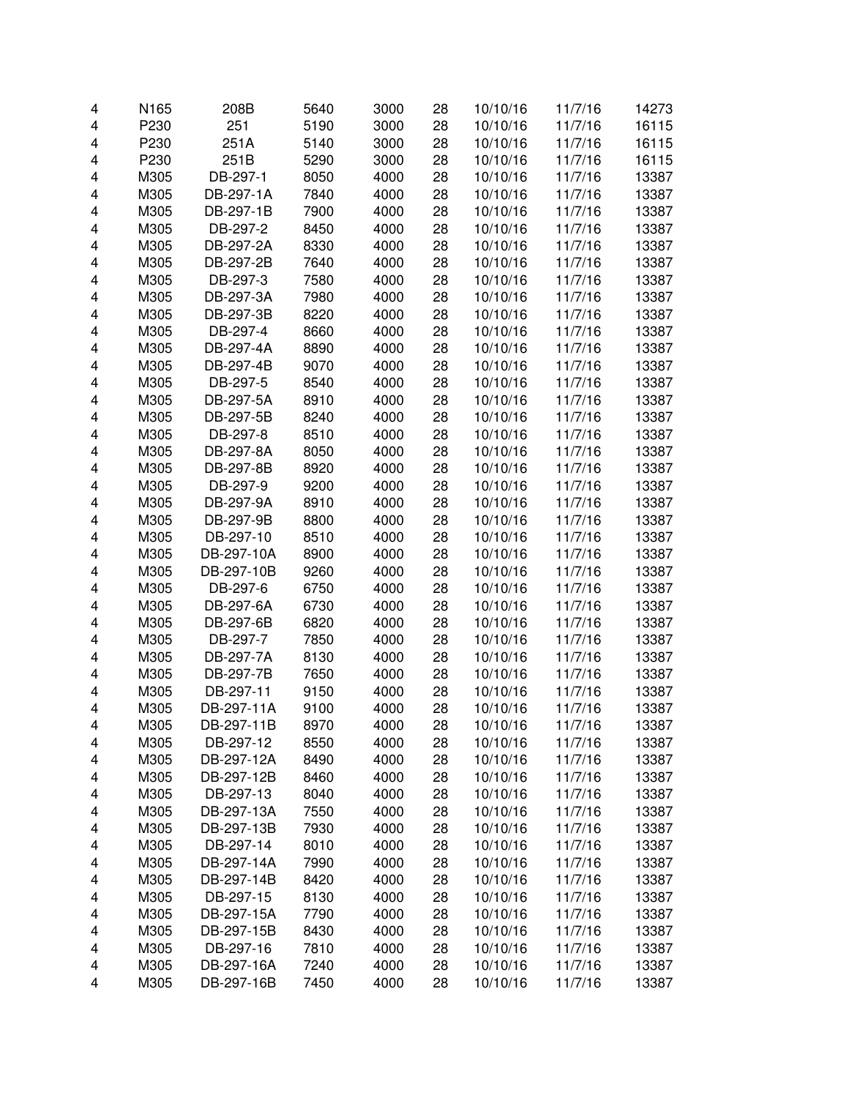| 4 | N165 | 208B       | 5640 | 3000 | 28 | 10/10/16 | 11/7/16 | 14273 |
|---|------|------------|------|------|----|----------|---------|-------|
| 4 | P230 | 251        | 5190 | 3000 | 28 | 10/10/16 | 11/7/16 | 16115 |
| 4 | P230 | 251A       | 5140 | 3000 | 28 | 10/10/16 | 11/7/16 | 16115 |
| 4 | P230 | 251B       | 5290 | 3000 | 28 | 10/10/16 | 11/7/16 | 16115 |
| 4 | M305 | DB-297-1   | 8050 | 4000 | 28 | 10/10/16 | 11/7/16 | 13387 |
| 4 | M305 | DB-297-1A  | 7840 | 4000 | 28 | 10/10/16 | 11/7/16 | 13387 |
| 4 | M305 | DB-297-1B  | 7900 | 4000 | 28 | 10/10/16 | 11/7/16 | 13387 |
| 4 | M305 | DB-297-2   | 8450 | 4000 | 28 | 10/10/16 | 11/7/16 | 13387 |
| 4 | M305 | DB-297-2A  | 8330 | 4000 | 28 | 10/10/16 | 11/7/16 | 13387 |
| 4 | M305 | DB-297-2B  | 7640 | 4000 | 28 | 10/10/16 | 11/7/16 | 13387 |
| 4 | M305 | DB-297-3   | 7580 | 4000 | 28 | 10/10/16 | 11/7/16 | 13387 |
| 4 | M305 | DB-297-3A  | 7980 | 4000 | 28 | 10/10/16 | 11/7/16 | 13387 |
| 4 | M305 | DB-297-3B  | 8220 | 4000 | 28 | 10/10/16 | 11/7/16 | 13387 |
| 4 | M305 | DB-297-4   | 8660 | 4000 | 28 | 10/10/16 | 11/7/16 | 13387 |
| 4 | M305 | DB-297-4A  | 8890 | 4000 | 28 | 10/10/16 | 11/7/16 | 13387 |
| 4 | M305 | DB-297-4B  | 9070 | 4000 | 28 | 10/10/16 | 11/7/16 | 13387 |
| 4 | M305 | DB-297-5   | 8540 | 4000 | 28 | 10/10/16 | 11/7/16 | 13387 |
| 4 | M305 | DB-297-5A  | 8910 | 4000 | 28 | 10/10/16 | 11/7/16 | 13387 |
| 4 | M305 | DB-297-5B  | 8240 | 4000 | 28 | 10/10/16 | 11/7/16 | 13387 |
| 4 | M305 | DB-297-8   | 8510 | 4000 | 28 | 10/10/16 | 11/7/16 | 13387 |
| 4 | M305 | DB-297-8A  | 8050 | 4000 | 28 | 10/10/16 | 11/7/16 | 13387 |
| 4 | M305 | DB-297-8B  | 8920 | 4000 | 28 | 10/10/16 | 11/7/16 | 13387 |
| 4 | M305 | DB-297-9   | 9200 | 4000 | 28 | 10/10/16 | 11/7/16 | 13387 |
| 4 | M305 | DB-297-9A  | 8910 | 4000 | 28 | 10/10/16 | 11/7/16 | 13387 |
| 4 | M305 | DB-297-9B  | 8800 | 4000 | 28 | 10/10/16 | 11/7/16 | 13387 |
|   |      |            |      | 4000 |    |          |         |       |
| 4 | M305 | DB-297-10  | 8510 |      | 28 | 10/10/16 | 11/7/16 | 13387 |
| 4 | M305 | DB-297-10A | 8900 | 4000 | 28 | 10/10/16 | 11/7/16 | 13387 |
| 4 | M305 | DB-297-10B | 9260 | 4000 | 28 | 10/10/16 | 11/7/16 | 13387 |
| 4 | M305 | DB-297-6   | 6750 | 4000 | 28 | 10/10/16 | 11/7/16 | 13387 |
| 4 | M305 | DB-297-6A  | 6730 | 4000 | 28 | 10/10/16 | 11/7/16 | 13387 |
| 4 | M305 | DB-297-6B  | 6820 | 4000 | 28 | 10/10/16 | 11/7/16 | 13387 |
| 4 | M305 | DB-297-7   | 7850 | 4000 | 28 | 10/10/16 | 11/7/16 | 13387 |
| 4 | M305 | DB-297-7A  | 8130 | 4000 | 28 | 10/10/16 | 11/7/16 | 13387 |
| 4 | M305 | DB-297-7B  | 7650 | 4000 | 28 | 10/10/16 | 11/7/16 | 13387 |
| 4 | M305 | DB-297-11  | 9150 | 4000 | 28 | 10/10/16 | 11/7/16 | 13387 |
| 4 | M305 | DB-297-11A | 9100 | 4000 | 28 | 10/10/16 | 11/7/16 | 13387 |
| 4 | M305 | DB-297-11B | 8970 | 4000 | 28 | 10/10/16 | 11/7/16 | 13387 |
| 4 | M305 | DB-297-12  | 8550 | 4000 | 28 | 10/10/16 | 11/7/16 | 13387 |
| 4 | M305 | DB-297-12A | 8490 | 4000 | 28 | 10/10/16 | 11/7/16 | 13387 |
| 4 | M305 | DB-297-12B | 8460 | 4000 | 28 | 10/10/16 | 11/7/16 | 13387 |
| 4 | M305 | DB-297-13  | 8040 | 4000 | 28 | 10/10/16 | 11/7/16 | 13387 |
| 4 | M305 | DB-297-13A | 7550 | 4000 | 28 | 10/10/16 | 11/7/16 | 13387 |
| 4 | M305 | DB-297-13B | 7930 | 4000 | 28 | 10/10/16 | 11/7/16 | 13387 |
| 4 | M305 | DB-297-14  | 8010 | 4000 | 28 | 10/10/16 | 11/7/16 | 13387 |
| 4 | M305 | DB-297-14A | 7990 | 4000 | 28 | 10/10/16 | 11/7/16 | 13387 |
| 4 | M305 | DB-297-14B | 8420 | 4000 | 28 | 10/10/16 | 11/7/16 | 13387 |
| 4 | M305 | DB-297-15  | 8130 | 4000 | 28 | 10/10/16 | 11/7/16 | 13387 |
| 4 | M305 | DB-297-15A | 7790 | 4000 | 28 | 10/10/16 | 11/7/16 | 13387 |
| 4 | M305 | DB-297-15B | 8430 | 4000 | 28 | 10/10/16 | 11/7/16 | 13387 |
| 4 | M305 | DB-297-16  | 7810 | 4000 | 28 | 10/10/16 | 11/7/16 | 13387 |
| 4 | M305 | DB-297-16A | 7240 | 4000 | 28 | 10/10/16 | 11/7/16 | 13387 |
| 4 | M305 | DB-297-16B | 7450 | 4000 | 28 | 10/10/16 | 11/7/16 | 13387 |